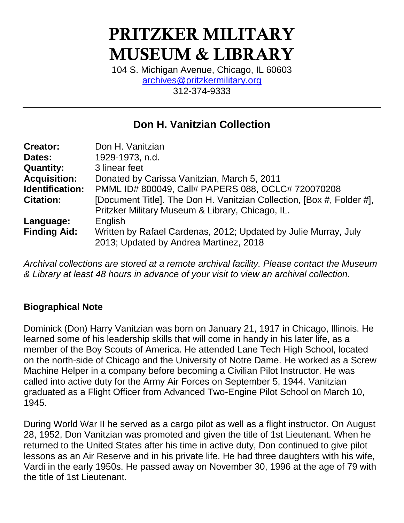# PRITZKER MILITARY MUSEUM & LIBRARY

104 S. Michigan Avenue, Chicago, IL 60603 [archives@pritzkermilitary.org](mailto:archives@pritzkermilitary.org) 312-374-9333

## **Don H. Vanitzian Collection**

| Don H. Vanitzian                                                                                          |
|-----------------------------------------------------------------------------------------------------------|
| 1929-1973, n.d.                                                                                           |
| 3 linear feet                                                                                             |
| Donated by Carissa Vanitzian, March 5, 2011                                                               |
| PMML ID# 800049, Call# PAPERS 088, OCLC# 720070208                                                        |
| [Document Title]. The Don H. Vanitzian Collection, [Box #, Folder #],                                     |
| Pritzker Military Museum & Library, Chicago, IL.                                                          |
| English                                                                                                   |
| Written by Rafael Cardenas, 2012; Updated by Julie Murray, July<br>2013; Updated by Andrea Martinez, 2018 |
|                                                                                                           |

*Archival collections are stored at a remote archival facility. Please contact the Museum & Library at least 48 hours in advance of your visit to view an archival collection.*

#### **Biographical Note**

Dominick (Don) Harry Vanitzian was born on January 21, 1917 in Chicago, Illinois. He learned some of his leadership skills that will come in handy in his later life, as a member of the Boy Scouts of America. He attended Lane Tech High School, located on the north-side of Chicago and the University of Notre Dame. He worked as a Screw Machine Helper in a company before becoming a Civilian Pilot Instructor. He was called into active duty for the Army Air Forces on September 5, 1944. Vanitzian graduated as a Flight Officer from Advanced Two-Engine Pilot School on March 10, 1945.

During World War II he served as a cargo pilot as well as a flight instructor. On August 28, 1952, Don Vanitzian was promoted and given the title of 1st Lieutenant. When he returned to the United States after his time in active duty, Don continued to give pilot lessons as an Air Reserve and in his private life. He had three daughters with his wife, Vardi in the early 1950s. He passed away on November 30, 1996 at the age of 79 with the title of 1st Lieutenant.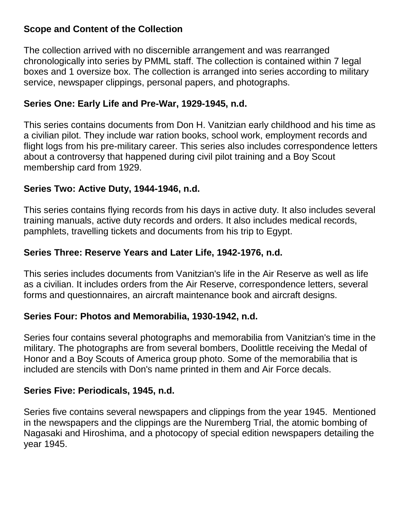#### **Scope and Content of the Collection**

The collection arrived with no discernible arrangement and was rearranged chronologically into series by PMML staff. The collection is contained within 7 legal boxes and 1 oversize box. The collection is arranged into series according to military service, newspaper clippings, personal papers, and photographs.

#### **Series One: Early Life and Pre-War, 1929-1945, n.d.**

This series contains documents from Don H. Vanitzian early childhood and his time as a civilian pilot. They include war ration books, school work, employment records and flight logs from his pre-military career. This series also includes correspondence letters about a controversy that happened during civil pilot training and a Boy Scout membership card from 1929.

#### **Series Two: Active Duty, 1944-1946, n.d.**

This series contains flying records from his days in active duty. It also includes several training manuals, active duty records and orders. It also includes medical records, pamphlets, travelling tickets and documents from his trip to Egypt.

#### **Series Three: Reserve Years and Later Life, 1942-1976, n.d.**

This series includes documents from Vanitzian's life in the Air Reserve as well as life as a civilian. It includes orders from the Air Reserve, correspondence letters, several forms and questionnaires, an aircraft maintenance book and aircraft designs.

#### **Series Four: Photos and Memorabilia, 1930-1942, n.d.**

Series four contains several photographs and memorabilia from Vanitzian's time in the military. The photographs are from several bombers, Doolittle receiving the Medal of Honor and a Boy Scouts of America group photo. Some of the memorabilia that is included are stencils with Don's name printed in them and Air Force decals.

#### **Series Five: Periodicals, 1945, n.d.**

Series five contains several newspapers and clippings from the year 1945. Mentioned in the newspapers and the clippings are the Nuremberg Trial, the atomic bombing of Nagasaki and Hiroshima, and a photocopy of special edition newspapers detailing the year 1945.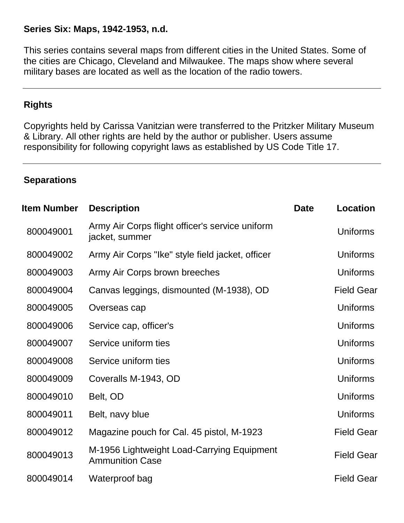#### **Series Six: Maps, 1942-1953, n.d.**

This series contains several maps from different cities in the United States. Some of the cities are Chicago, Cleveland and Milwaukee. The maps show where several military bases are located as well as the location of the radio towers.

#### **Rights**

Copyrights held by Carissa Vanitzian were transferred to the Pritzker Military Museum & Library. All other rights are held by the author or publisher. Users assume responsibility for following copyright laws as established by US Code Title 17.

#### **Separations**

| <b>Item Number</b> | <b>Description</b>                                                   | <b>Date</b> | <b>Location</b>   |
|--------------------|----------------------------------------------------------------------|-------------|-------------------|
| 800049001          | Army Air Corps flight officer's service uniform<br>jacket, summer    |             | Uniforms          |
| 800049002          | Army Air Corps "Ike" style field jacket, officer                     |             | Uniforms          |
| 800049003          | Army Air Corps brown breeches                                        |             | <b>Uniforms</b>   |
| 800049004          | Canvas leggings, dismounted (M-1938), OD                             |             | <b>Field Gear</b> |
| 800049005          | Overseas cap                                                         |             | Uniforms          |
| 800049006          | Service cap, officer's                                               |             | Uniforms          |
| 800049007          | Service uniform ties                                                 |             | Uniforms          |
| 800049008          | Service uniform ties                                                 |             | Uniforms          |
| 800049009          | Coveralls M-1943, OD                                                 |             | Uniforms          |
| 800049010          | Belt, OD                                                             |             | Uniforms          |
| 800049011          | Belt, navy blue                                                      |             | <b>Uniforms</b>   |
| 800049012          | Magazine pouch for Cal. 45 pistol, M-1923                            |             | <b>Field Gear</b> |
| 800049013          | M-1956 Lightweight Load-Carrying Equipment<br><b>Ammunition Case</b> |             | <b>Field Gear</b> |
| 800049014          | Waterproof bag                                                       |             | <b>Field Gear</b> |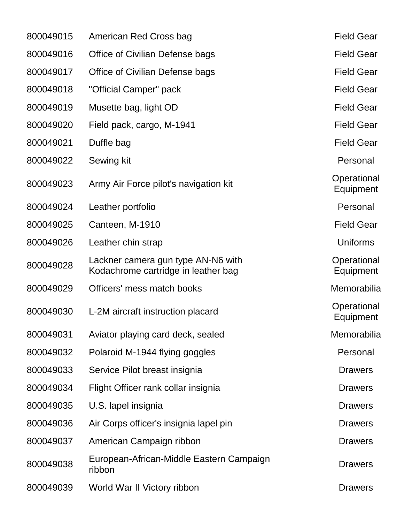| 800049015 | American Red Cross bag                                                    | <b>Field Gear</b>        |
|-----------|---------------------------------------------------------------------------|--------------------------|
| 800049016 | Office of Civilian Defense bags                                           | <b>Field Gear</b>        |
| 800049017 | Office of Civilian Defense bags                                           | <b>Field Gear</b>        |
| 800049018 | "Official Camper" pack                                                    | <b>Field Gear</b>        |
| 800049019 | Musette bag, light OD                                                     | <b>Field Gear</b>        |
| 800049020 | Field pack, cargo, M-1941                                                 | <b>Field Gear</b>        |
| 800049021 | Duffle bag                                                                | <b>Field Gear</b>        |
| 800049022 | Sewing kit                                                                | Personal                 |
| 800049023 | Army Air Force pilot's navigation kit                                     | Operational<br>Equipment |
| 800049024 | Leather portfolio                                                         | Personal                 |
| 800049025 | Canteen, M-1910                                                           | <b>Field Gear</b>        |
| 800049026 | Leather chin strap                                                        | <b>Uniforms</b>          |
| 800049028 | Lackner camera gun type AN-N6 with<br>Kodachrome cartridge in leather bag | Operational<br>Equipment |
| 800049029 | Officers' mess match books                                                | Memorabilia              |
| 800049030 | L-2M aircraft instruction placard                                         | Operational<br>Equipment |
| 800049031 | Aviator playing card deck, sealed                                         | Memorabilia              |
| 800049032 | Polaroid M-1944 flying goggles                                            | Personal                 |
| 800049033 | Service Pilot breast insignia                                             | <b>Drawers</b>           |
| 800049034 | Flight Officer rank collar insignia                                       | <b>Drawers</b>           |
| 800049035 | U.S. lapel insignia                                                       | <b>Drawers</b>           |
| 800049036 | Air Corps officer's insignia lapel pin                                    | <b>Drawers</b>           |
| 800049037 | American Campaign ribbon                                                  | <b>Drawers</b>           |
| 800049038 | European-African-Middle Eastern Campaign<br>ribbon                        | <b>Drawers</b>           |
| 800049039 | World War II Victory ribbon                                               | <b>Drawers</b>           |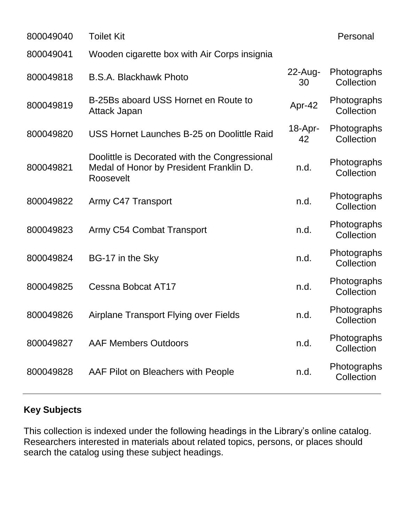| 800049040 | <b>Toilet Kit</b>                                                                                     |                    | Personal                  |
|-----------|-------------------------------------------------------------------------------------------------------|--------------------|---------------------------|
| 800049041 | Wooden cigarette box with Air Corps insignia                                                          |                    |                           |
| 800049818 | <b>B.S.A. Blackhawk Photo</b>                                                                         | $22$ -Aug-<br>30   | Photographs<br>Collection |
| 800049819 | B-25Bs aboard USS Hornet en Route to<br>Attack Japan                                                  | Apr-42             | Photographs<br>Collection |
| 800049820 | USS Hornet Launches B-25 on Doolittle Raid                                                            | $18 - Apr -$<br>42 | Photographs<br>Collection |
| 800049821 | Doolittle is Decorated with the Congressional<br>Medal of Honor by President Franklin D.<br>Roosevelt | n.d.               | Photographs<br>Collection |
| 800049822 | Army C47 Transport                                                                                    | n.d.               | Photographs<br>Collection |
| 800049823 | Army C54 Combat Transport                                                                             | n.d.               | Photographs<br>Collection |
| 800049824 | BG-17 in the Sky                                                                                      | n.d.               | Photographs<br>Collection |
| 800049825 | Cessna Bobcat AT17                                                                                    | n.d.               | Photographs<br>Collection |
| 800049826 | Airplane Transport Flying over Fields                                                                 | n.d.               | Photographs<br>Collection |
| 800049827 | <b>AAF Members Outdoors</b>                                                                           | n.d.               | Photographs<br>Collection |
| 800049828 | AAF Pilot on Bleachers with People                                                                    | n.d.               | Photographs<br>Collection |
|           |                                                                                                       |                    |                           |

## **Key Subjects**

This collection is indexed under the following headings in the Library's online catalog. Researchers interested in materials about related topics, persons, or places should search the catalog using these subject headings.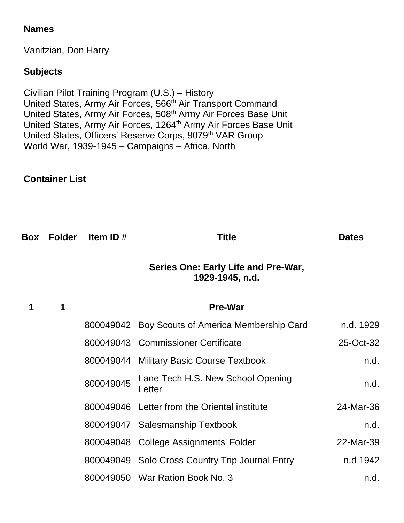#### **Names**

Vanitzian, Don Harry

### **Subjects**

Civilian Pilot Training Program (U.S.) – History United States, Army Air Forces, 566<sup>th</sup> Air Transport Command United States, Army Air Forces, 508<sup>th</sup> Army Air Forces Base Unit United States, Army Air Forces, 1264<sup>th</sup> Army Air Forces Base Unit United States, Officers' Reserve Corps, 9079<sup>th</sup> VAR Group World War, 1939-1945 – Campaigns – Africa, North

#### **Container List**

| Box Folder | Item ID#  | Title                                                  | <b>Dates</b> |
|------------|-----------|--------------------------------------------------------|--------------|
|            |           | Series One: Early Life and Pre-War,<br>1929-1945, n.d. |              |
| 1          |           | <b>Pre-War</b>                                         |              |
|            |           | 800049042 Boy Scouts of America Membership Card        | n.d. 1929    |
|            |           | 800049043 Commissioner Certificate                     | 25-Oct-32    |
|            |           | 800049044 Military Basic Course Textbook               | n.d.         |
|            | 800049045 | Lane Tech H.S. New School Opening<br>Letter            | n.d.         |
|            |           | 800049046 Letter from the Oriental institute           | 24-Mar-36    |
|            |           | 800049047 Salesmanship Textbook                        | n.d.         |
|            | 800049048 | <b>College Assignments' Folder</b>                     | 22-Mar-39    |
|            |           | 800049049 Solo Cross Country Trip Journal Entry        | n.d 1942     |
|            |           | 800049050 War Ration Book No. 3                        | n.d.         |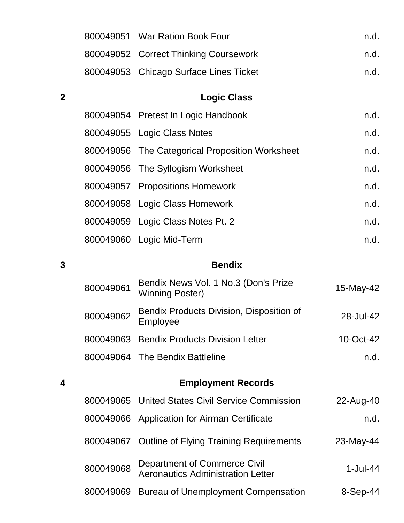|             |           | 800049051 War Ration Book Four                                           | n.d.         |
|-------------|-----------|--------------------------------------------------------------------------|--------------|
|             |           | 800049052 Correct Thinking Coursework                                    | n.d.         |
|             |           | 800049053 Chicago Surface Lines Ticket                                   | n.d.         |
| $\mathbf 2$ |           | <b>Logic Class</b>                                                       |              |
|             |           | 800049054 Pretest In Logic Handbook                                      | n.d.         |
|             |           | 800049055 Logic Class Notes                                              | n.d.         |
|             |           | 800049056 The Categorical Proposition Worksheet                          | n.d.         |
|             |           | 800049056 The Syllogism Worksheet                                        | n.d.         |
|             |           | 800049057 Propositions Homework                                          | n.d.         |
|             |           | 800049058 Logic Class Homework                                           | n.d.         |
|             |           | 800049059 Logic Class Notes Pt. 2                                        | n.d.         |
|             |           | 800049060 Logic Mid-Term                                                 | n.d.         |
| 3           |           | <b>Bendix</b>                                                            |              |
|             | 800049061 | Bendix News Vol. 1 No.3 (Don's Prize<br><b>Winning Poster)</b>           | 15-May-42    |
|             | 800049062 | Bendix Products Division, Disposition of<br>Employee                     | 28-Jul-42    |
|             |           | 800049063 Bendix Products Division Letter                                | $10$ -Oct-42 |
|             |           | 800049064 The Bendix Battleline                                          | n.d.         |
| 4           |           | <b>Employment Records</b>                                                |              |
|             | 800049065 | <b>United States Civil Service Commission</b>                            | 22-Aug-40    |
|             |           | 800049066 Application for Airman Certificate                             | n.d.         |
|             | 800049067 | <b>Outline of Flying Training Requirements</b>                           | 23-May-44    |
|             | 800049068 | Department of Commerce Civil<br><b>Aeronautics Administration Letter</b> | $1-Jul-44$   |
|             | 800049069 | <b>Bureau of Unemployment Compensation</b>                               | $8-Sep-44$   |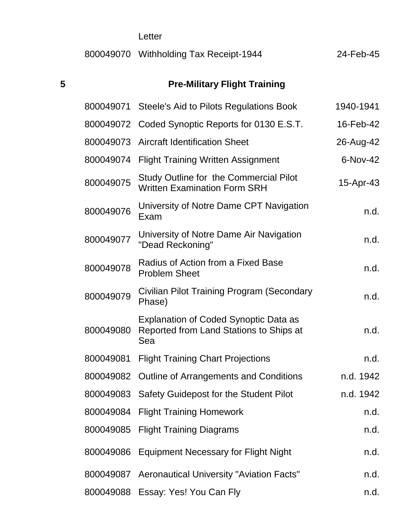## Letter

|  | 800049070 Withholding Tax Receipt-1944 | 24-Feb-45 |
|--|----------------------------------------|-----------|
|--|----------------------------------------|-----------|

## **Pre-Military Flight Training**

| 800049071 | Steele's Aid to Pilots Regulations Book                                                        | 1940-1941 |
|-----------|------------------------------------------------------------------------------------------------|-----------|
| 800049072 | Coded Synoptic Reports for 0130 E.S.T.                                                         | 16-Feb-42 |
| 800049073 | <b>Aircraft Identification Sheet</b>                                                           | 26-Aug-42 |
| 800049074 | <b>Flight Training Written Assignment</b>                                                      | 6-Nov-42  |
| 800049075 | <b>Study Outline for the Commercial Pilot</b><br><b>Written Examination Form SRH</b>           | 15-Apr-43 |
| 800049076 | University of Notre Dame CPT Navigation<br>Exam                                                | n.d.      |
| 800049077 | University of Notre Dame Air Navigation<br>"Dead Reckoning"                                    | n.d.      |
| 800049078 | Radius of Action from a Fixed Base<br><b>Problem Sheet</b>                                     | n.d.      |
| 800049079 | Civilian Pilot Training Program (Secondary<br>Phase)                                           | n.d.      |
| 800049080 | <b>Explanation of Coded Synoptic Data as</b><br>Reported from Land Stations to Ships at<br>Sea | n.d.      |
| 800049081 | <b>Flight Training Chart Projections</b>                                                       | n.d.      |
| 800049082 | <b>Outline of Arrangements and Conditions</b>                                                  | n.d. 1942 |
|           | 800049083 Safety Guidepost for the Student Pilot                                               | n.d. 1942 |
| 800049084 | <b>Flight Training Homework</b>                                                                | n.d.      |
| 800049085 | <b>Flight Training Diagrams</b>                                                                | n.d.      |
| 800049086 | <b>Equipment Necessary for Flight Night</b>                                                    | n.d.      |
| 800049087 | <b>Aeronautical University "Aviation Facts"</b>                                                | n.d.      |
| 800049088 | Essay: Yes! You Can Fly                                                                        | n.d.      |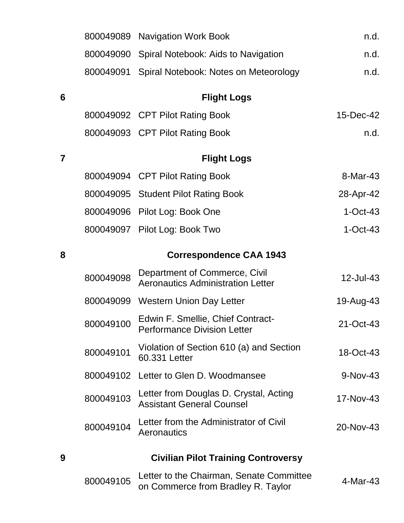|                | 800049089 | <b>Navigation Work Book</b>                                                    | n.d.       |
|----------------|-----------|--------------------------------------------------------------------------------|------------|
|                | 800049090 | Spiral Notebook: Aids to Navigation                                            | n.d.       |
|                | 800049091 | Spiral Notebook: Notes on Meteorology                                          | n.d.       |
| 6              |           | <b>Flight Logs</b>                                                             |            |
|                |           | 800049092 CPT Pilot Rating Book                                                | 15-Dec-42  |
|                |           | 800049093 CPT Pilot Rating Book                                                | n.d.       |
| $\overline{7}$ |           | <b>Flight Logs</b>                                                             |            |
|                |           | 800049094 CPT Pilot Rating Book                                                | 8-Mar-43   |
|                |           | 800049095 Student Pilot Rating Book                                            | 28-Apr-42  |
|                |           | 800049096 Pilot Log: Book One                                                  | $1-Oct-43$ |
|                |           | 800049097 Pilot Log: Book Two                                                  | $1-Oct-43$ |
| 8              |           | <b>Correspondence CAA 1943</b>                                                 |            |
|                | 800049098 | Department of Commerce, Civil<br><b>Aeronautics Administration Letter</b>      | 12-Jul-43  |
|                | 800049099 | <b>Western Union Day Letter</b>                                                | 19-Aug-43  |
|                | 800049100 | Edwin F. Smellie, Chief Contract-<br><b>Performance Division Letter</b>        | 21-Oct-43  |
|                | 800049101 | Violation of Section 610 (a) and Section<br>60.331 Letter                      | 18-Oct-43  |
|                | 800049102 | Letter to Glen D. Woodmansee                                                   | 9-Nov-43   |
|                | 800049103 | Letter from Douglas D. Crystal, Acting<br><b>Assistant General Counsel</b>     | 17-Nov-43  |
|                | 800049104 | Letter from the Administrator of Civil<br>Aeronautics                          | 20-Nov-43  |
| 9              |           | <b>Civilian Pilot Training Controversy</b>                                     |            |
|                | 800049105 | Letter to the Chairman, Senate Committee<br>on Commerce from Bradley R. Taylor | 4-Mar-43   |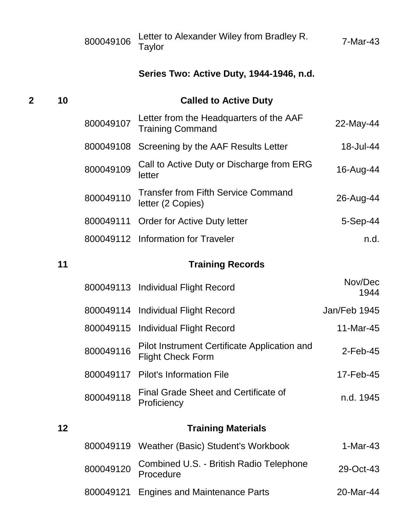|    | 800049106 | Letter to Alexander Wiley from Bradley R.<br>Taylor                      | 7-Mar-43                           |
|----|-----------|--------------------------------------------------------------------------|------------------------------------|
|    |           | Series Two: Active Duty, 1944-1946, n.d.                                 |                                    |
| 10 |           | <b>Called to Active Duty</b>                                             |                                    |
|    | 800049107 | Letter from the Headquarters of the AAF<br><b>Training Command</b>       | 22-May-44                          |
|    | 800049108 | Screening by the AAF Results Letter                                      | 18-Jul-44                          |
|    | 800049109 | Call to Active Duty or Discharge from ERG<br>letter                      | 16-Aug-44                          |
|    | 800049110 | <b>Transfer from Fifth Service Command</b><br>letter (2 Copies)          | 26-Aug-44                          |
|    | 800049111 | <b>Order for Active Duty letter</b>                                      | $5-Sep-44$                         |
|    |           |                                                                          | n.d.                               |
| 11 |           | <b>Training Records</b>                                                  |                                    |
|    |           |                                                                          |                                    |
|    | 800049113 | <b>Individual Flight Record</b>                                          | Nov/Dec<br>1944                    |
|    | 800049114 | <b>Individual Flight Record</b>                                          | Jan/Feb 1945                       |
|    |           | 800049115 Individual Flight Record                                       | 11-Mar-45                          |
|    | 800049116 | Pilot Instrument Certificate Application and<br><b>Flight Check Form</b> | $2$ -Feb-45                        |
|    | 800049117 | <b>Pilot's Information File</b>                                          | 17-Feb-45                          |
|    | 800049118 | <b>Final Grade Sheet and Certificate of</b><br>Proficiency               | n.d. 1945                          |
| 12 |           | <b>Training Materials</b>                                                |                                    |
|    | 800049119 | Weather (Basic) Student's Workbook                                       | $1-Mar-43$                         |
|    |           |                                                                          | 800049112 Information for Traveler |

Engines and Maintenance Parts 20-Mar-44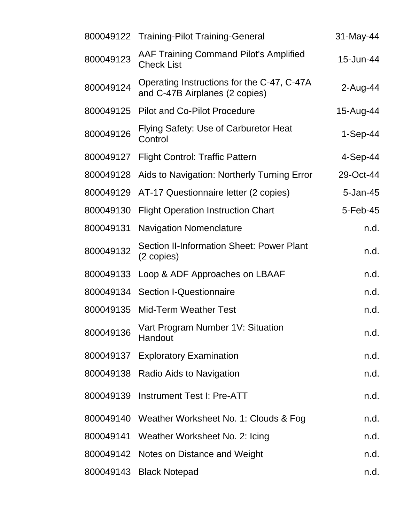|           | 800049122 Training-Pilot Training-General                                    | 31-May-44  |
|-----------|------------------------------------------------------------------------------|------------|
| 800049123 | <b>AAF Training Command Pilot's Amplified</b><br><b>Check List</b>           | 15-Jun-44  |
| 800049124 | Operating Instructions for the C-47, C-47A<br>and C-47B Airplanes (2 copies) | 2-Aug-44   |
| 800049125 | <b>Pilot and Co-Pilot Procedure</b>                                          | 15-Aug-44  |
| 800049126 | Flying Safety: Use of Carburetor Heat<br>Control                             | $1-Sep-44$ |
| 800049127 | <b>Flight Control: Traffic Pattern</b>                                       | 4-Sep-44   |
| 800049128 | Aids to Navigation: Northerly Turning Error                                  | 29-Oct-44  |
| 800049129 | AT-17 Questionnaire letter (2 copies)                                        | 5-Jan-45   |
| 800049130 | <b>Flight Operation Instruction Chart</b>                                    | 5-Feb-45   |
| 800049131 | <b>Navigation Nomenclature</b>                                               | n.d.       |
| 800049132 | <b>Section II-Information Sheet: Power Plant</b><br>(2 copies)               | n.d.       |
| 800049133 | Loop & ADF Approaches on LBAAF                                               | n.d.       |
| 800049134 | <b>Section I-Questionnaire</b>                                               | n.d.       |
| 800049135 | <b>Mid-Term Weather Test</b>                                                 | n.d.       |
| 800049136 | Vart Program Number 1V: Situation<br>Handout                                 | n.d.       |
|           | 800049137 Exploratory Examination                                            | n.d.       |
|           | 800049138 Radio Aids to Navigation                                           | n.d.       |
| 800049139 | <b>Instrument Test I: Pre-ATT</b>                                            | n.d.       |
|           | 800049140 Weather Worksheet No. 1: Clouds & Fog                              | n.d.       |
|           | 800049141 Weather Worksheet No. 2: Icing                                     | n.d.       |
|           | 800049142 Notes on Distance and Weight                                       | n.d.       |
|           | 800049143 Black Notepad                                                      | n.d.       |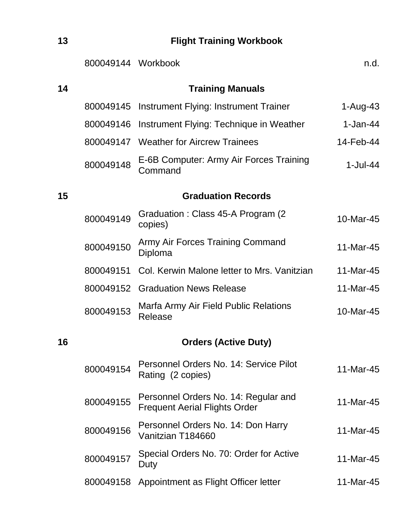## **13 Flight Training Workbook**

|    | 800049144 Workbook |                                                                              | n.d.        |
|----|--------------------|------------------------------------------------------------------------------|-------------|
| 14 |                    | <b>Training Manuals</b>                                                      |             |
|    | 800049145          | Instrument Flying: Instrument Trainer                                        | $1-Au$ g-43 |
|    | 800049146          | Instrument Flying: Technique in Weather                                      | $1-Jan-44$  |
|    |                    | 800049147 Weather for Aircrew Trainees                                       | 14-Feb-44   |
|    | 800049148          | E-6B Computer: Army Air Forces Training<br>Command                           | $1$ -Jul-44 |
| 15 |                    | <b>Graduation Records</b>                                                    |             |
|    | 800049149          | Graduation: Class 45-A Program (2)<br>copies)                                | 10-Mar-45   |
|    | 800049150          | Army Air Forces Training Command<br>Diploma                                  | 11-Mar-45   |
|    | 800049151          | Col. Kerwin Malone letter to Mrs. Vanitzian                                  | 11-Mar-45   |
|    | 800049152          | <b>Graduation News Release</b>                                               | 11-Mar-45   |
|    | 800049153          | Marfa Army Air Field Public Relations<br>Release                             | 10-Mar-45   |
| 16 |                    | <b>Orders (Active Duty)</b>                                                  |             |
|    | 800049154          | Personnel Orders No. 14: Service Pilot<br>Rating (2 copies)                  | 11-Mar-45   |
|    | 800049155          | Personnel Orders No. 14: Regular and<br><b>Frequent Aerial Flights Order</b> | 11-Mar-45   |
|    | 800049156          | Personnel Orders No. 14: Don Harry<br>Vanitzian T184660                      | 11-Mar-45   |
|    | 800049157          | Special Orders No. 70: Order for Active<br>Duty                              | 11-Mar-45   |
|    | 800049158          | Appointment as Flight Officer letter                                         | 11-Mar-45   |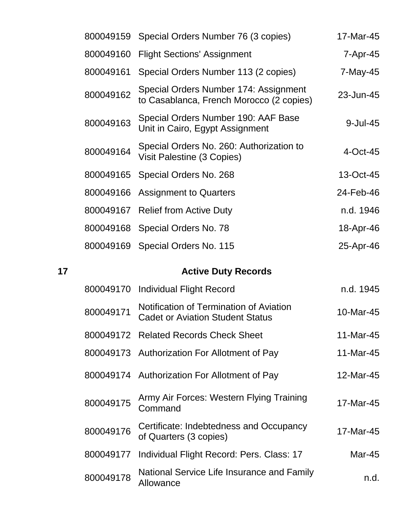|    | 800049159 | Special Orders Number 76 (3 copies)                                                | 17-Mar-45 |
|----|-----------|------------------------------------------------------------------------------------|-----------|
|    | 800049160 | <b>Flight Sections' Assignment</b>                                                 | 7-Apr-45  |
|    | 800049161 | Special Orders Number 113 (2 copies)                                               | 7-May-45  |
|    | 800049162 | Special Orders Number 174: Assignment<br>to Casablanca, French Morocco (2 copies)  | 23-Jun-45 |
|    | 800049163 | Special Orders Number 190: AAF Base<br>Unit in Cairo, Egypt Assignment             | 9-Jul-45  |
|    | 800049164 | Special Orders No. 260: Authorization to<br>Visit Palestine (3 Copies)             | 4-Oct-45  |
|    | 800049165 | Special Orders No. 268                                                             | 13-Oct-45 |
|    | 800049166 | <b>Assignment to Quarters</b>                                                      | 24-Feb-46 |
|    |           | 800049167 Relief from Active Duty                                                  | n.d. 1946 |
|    | 800049168 | Special Orders No. 78                                                              | 18-Apr-46 |
|    | 800049169 | Special Orders No. 115                                                             | 25-Apr-46 |
| 17 |           | <b>Active Duty Records</b>                                                         |           |
|    | 800049170 | <b>Individual Flight Record</b>                                                    | n.d. 1945 |
|    |           |                                                                                    |           |
|    | 800049171 | Notification of Termination of Aviation<br><b>Cadet or Aviation Student Status</b> | 10-Mar-45 |
|    |           | 800049172 Related Records Check Sheet                                              | 11-Mar-45 |
|    |           | 800049173 Authorization For Allotment of Pay                                       | 11-Mar-45 |
|    |           | 800049174 Authorization For Allotment of Pay                                       | 12-Mar-45 |
|    | 800049175 | Army Air Forces: Western Flying Training<br>Command                                | 17-Mar-45 |
|    | 800049176 | Certificate: Indebtedness and Occupancy<br>of Quarters (3 copies)                  | 17-Mar-45 |
|    | 800049177 | Individual Flight Record: Pers. Class: 17                                          | Mar-45    |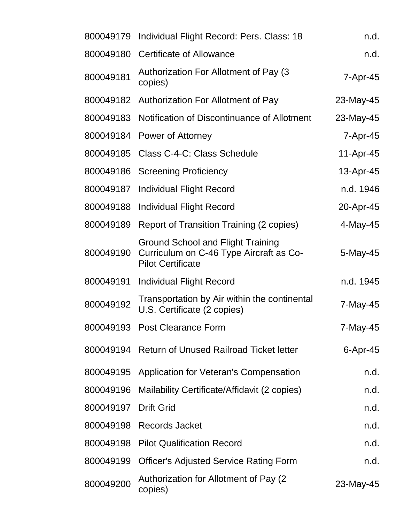| 800049179 | Individual Flight Record: Pers. Class: 18                                                                       | n.d.           |
|-----------|-----------------------------------------------------------------------------------------------------------------|----------------|
| 800049180 | <b>Certificate of Allowance</b>                                                                                 | n.d.           |
| 800049181 | Authorization For Allotment of Pay (3)<br>copies)                                                               | 7-Apr-45       |
|           | 800049182 Authorization For Allotment of Pay                                                                    | 23-May-45      |
| 800049183 | Notification of Discontinuance of Allotment                                                                     | 23-May-45      |
|           | 800049184 Power of Attorney                                                                                     | $7 - Apr - 45$ |
| 800049185 | Class C-4-C: Class Schedule                                                                                     | 11-Apr-45      |
| 800049186 | <b>Screening Proficiency</b>                                                                                    | 13-Apr-45      |
| 800049187 | <b>Individual Flight Record</b>                                                                                 | n.d. 1946      |
|           | 800049188 Individual Flight Record                                                                              | 20-Apr-45      |
| 800049189 | Report of Transition Training (2 copies)                                                                        | $4$ -May-45    |
| 800049190 | <b>Ground School and Flight Training</b><br>Curriculum on C-46 Type Aircraft as Co-<br><b>Pilot Certificate</b> | 5-May-45       |
| 800049191 | <b>Individual Flight Record</b>                                                                                 | n.d. 1945      |
| 800049192 | Transportation by Air within the continental<br>U.S. Certificate (2 copies)                                     | 7-May-45       |
|           | 800049193 Post Clearance Form                                                                                   | 7-May-45       |
|           | 800049194 Return of Unused Railroad Ticket letter                                                               | $6$ -Apr-45    |
| 800049195 | Application for Veteran's Compensation                                                                          | n.d.           |
| 800049196 | Mailability Certificate/Affidavit (2 copies)                                                                    | n.d.           |
| 800049197 | <b>Drift Grid</b>                                                                                               | n.d.           |
| 800049198 | <b>Records Jacket</b>                                                                                           | n.d.           |
| 800049198 | <b>Pilot Qualification Record</b>                                                                               | n.d.           |
| 800049199 | <b>Officer's Adjusted Service Rating Form</b>                                                                   | n.d.           |
| 800049200 | Authorization for Allotment of Pay (2)<br>copies)                                                               | 23-May-45      |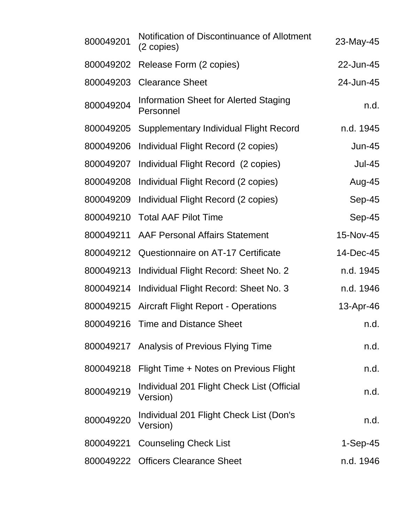| 800049201 | Notification of Discontinuance of Allotment<br>(2 copies) | 23-May-45     |
|-----------|-----------------------------------------------------------|---------------|
| 800049202 | Release Form (2 copies)                                   | 22-Jun-45     |
| 800049203 | <b>Clearance Sheet</b>                                    | 24-Jun-45     |
| 800049204 | Information Sheet for Alerted Staging<br>Personnel        | n.d.          |
| 800049205 | <b>Supplementary Individual Flight Record</b>             | n.d. 1945     |
| 800049206 | Individual Flight Record (2 copies)                       | <b>Jun-45</b> |
| 800049207 | Individual Flight Record (2 copies)                       | <b>Jul-45</b> |
| 800049208 | Individual Flight Record (2 copies)                       | Aug-45        |
| 800049209 | Individual Flight Record (2 copies)                       | Sep-45        |
| 800049210 | <b>Total AAF Pilot Time</b>                               | Sep-45        |
| 800049211 | <b>AAF Personal Affairs Statement</b>                     | 15-Nov-45     |
| 800049212 | Questionnaire on AT-17 Certificate                        | 14-Dec-45     |
| 800049213 | Individual Flight Record: Sheet No. 2                     | n.d. 1945     |
| 800049214 | Individual Flight Record: Sheet No. 3                     | n.d. 1946     |
| 800049215 | <b>Aircraft Flight Report - Operations</b>                | 13-Apr-46     |
|           | 800049216 Time and Distance Sheet                         | n.d           |
|           | 800049217 Analysis of Previous Flying Time                | n.d.          |
| 800049218 | Flight Time + Notes on Previous Flight                    | n.d.          |
| 800049219 | Individual 201 Flight Check List (Official<br>Version)    | n.d.          |
| 800049220 | Individual 201 Flight Check List (Don's<br>Version)       | n.d.          |
| 800049221 | <b>Counseling Check List</b>                              | $1-Sep-45$    |
|           | 800049222 Officers Clearance Sheet                        | n.d. 1946     |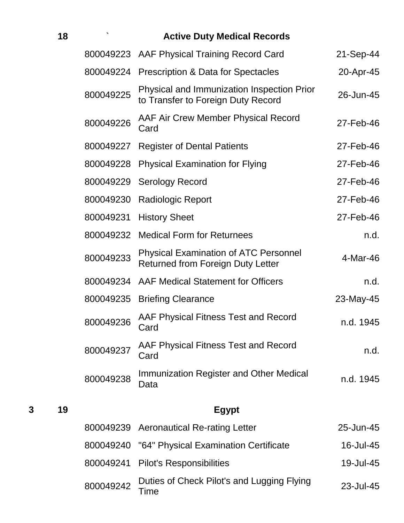|   | 18 |           | <b>Active Duty Medical Records</b>                                                       |           |
|---|----|-----------|------------------------------------------------------------------------------------------|-----------|
|   |    |           | 800049223 AAF Physical Training Record Card                                              | 21-Sep-44 |
|   |    | 800049224 | <b>Prescription &amp; Data for Spectacles</b>                                            | 20-Apr-45 |
|   |    | 800049225 | Physical and Immunization Inspection Prior<br>to Transfer to Foreign Duty Record         | 26-Jun-45 |
|   |    | 800049226 | AAF Air Crew Member Physical Record<br>Card                                              | 27-Feb-46 |
|   |    | 800049227 | <b>Register of Dental Patients</b>                                                       | 27-Feb-46 |
|   |    | 800049228 | <b>Physical Examination for Flying</b>                                                   | 27-Feb-46 |
|   |    | 800049229 | <b>Serology Record</b>                                                                   | 27-Feb-46 |
|   |    | 800049230 | <b>Radiologic Report</b>                                                                 | 27-Feb-46 |
|   |    | 800049231 | <b>History Sheet</b>                                                                     | 27-Feb-46 |
|   |    | 800049232 | <b>Medical Form for Returnees</b>                                                        | n.d.      |
|   |    | 800049233 | <b>Physical Examination of ATC Personnel</b><br><b>Returned from Foreign Duty Letter</b> | 4-Mar-46  |
|   |    | 800049234 | <b>AAF Medical Statement for Officers</b>                                                | n.d.      |
|   |    | 800049235 | <b>Briefing Clearance</b>                                                                | 23-May-45 |
|   |    | 800049236 | AAF Physical Fitness Test and Record<br>Card                                             | n.d. 1945 |
|   |    | 800049237 | AAF Physical Fitness Test and Record<br>Card                                             | n.d.      |
|   |    | 800049238 | <b>Immunization Register and Other Medical</b><br>Data                                   | n.d. 1945 |
| 3 | 19 |           | <b>Egypt</b>                                                                             |           |
|   |    | 800049239 | <b>Aeronautical Re-rating Letter</b>                                                     | 25-Jun-45 |
|   |    | 800049240 | "64" Physical Examination Certificate                                                    | 16-Jul-45 |
|   |    | 800049241 | <b>Pilot's Responsibilities</b>                                                          | 19-Jul-45 |
|   |    | 800049242 | Duties of Check Pilot's and Lugging Flying<br>Time                                       | 23-Jul-45 |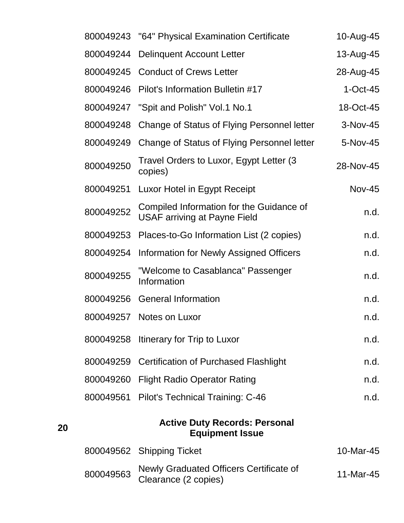|    |           | 800049243 "64" Physical Examination Certificate                                 | 10-Aug-45     |
|----|-----------|---------------------------------------------------------------------------------|---------------|
|    | 800049244 | <b>Delinquent Account Letter</b>                                                | 13-Aug-45     |
|    |           | 800049245 Conduct of Crews Letter                                               | 28-Aug-45     |
|    |           | 800049246 Pilot's Information Bulletin #17                                      | $1-Oct-45$    |
|    | 800049247 | "Spit and Polish" Vol.1 No.1                                                    | 18-Oct-45     |
|    | 800049248 | Change of Status of Flying Personnel letter                                     | 3-Nov-45      |
|    | 800049249 | Change of Status of Flying Personnel letter                                     | 5-Nov-45      |
|    | 800049250 | Travel Orders to Luxor, Egypt Letter (3)<br>copies)                             | 28-Nov-45     |
|    | 800049251 | Luxor Hotel in Egypt Receipt                                                    | <b>Nov-45</b> |
|    | 800049252 | Compiled Information for the Guidance of<br><b>USAF arriving at Payne Field</b> | n.d.          |
|    | 800049253 | Places-to-Go Information List (2 copies)                                        | n.d.          |
|    | 800049254 | <b>Information for Newly Assigned Officers</b>                                  | n.d.          |
|    | 800049255 | "Welcome to Casablanca" Passenger<br>Information                                | n.d.          |
|    | 800049256 | <b>General Information</b>                                                      | n.d.          |
|    |           | 800049257 Notes on Luxor                                                        | n.d.          |
|    | 800049258 | Itinerary for Trip to Luxor                                                     | n.d.          |
|    |           | 800049259 Certification of Purchased Flashlight                                 | n.d.          |
|    |           | 800049260 Flight Radio Operator Rating                                          | n.d.          |
|    |           | 800049561 Pilot's Technical Training: C-46                                      | n.d.          |
| 20 |           | <b>Active Duty Records: Personal</b><br><b>Equipment Issue</b>                  |               |
|    |           | 800049562 Shipping Ticket                                                       | 10-Mar-45     |
|    | 800049563 | Newly Graduated Officers Certificate of                                         | 11-Mar-45     |

Clearance (2 copies)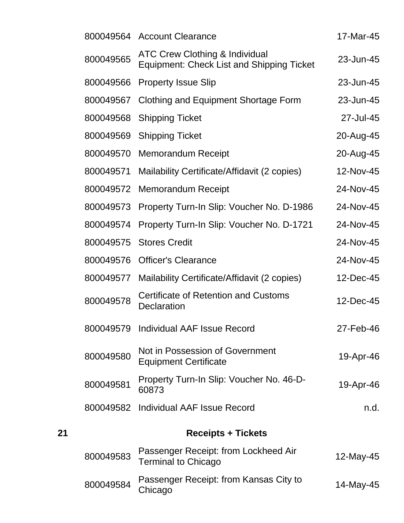|    |           | 800049564 Account Clearance                                                                   | 17-Mar-45 |
|----|-----------|-----------------------------------------------------------------------------------------------|-----------|
|    | 800049565 | <b>ATC Crew Clothing &amp; Individual</b><br><b>Equipment: Check List and Shipping Ticket</b> | 23-Jun-45 |
|    | 800049566 | <b>Property Issue Slip</b>                                                                    | 23-Jun-45 |
|    | 800049567 | Clothing and Equipment Shortage Form                                                          | 23-Jun-45 |
|    | 800049568 | <b>Shipping Ticket</b>                                                                        | 27-Jul-45 |
|    | 800049569 | <b>Shipping Ticket</b>                                                                        | 20-Aug-45 |
|    | 800049570 | <b>Memorandum Receipt</b>                                                                     | 20-Aug-45 |
|    | 800049571 | Mailability Certificate/Affidavit (2 copies)                                                  | 12-Nov-45 |
|    | 800049572 | <b>Memorandum Receipt</b>                                                                     | 24-Nov-45 |
|    | 800049573 | Property Turn-In Slip: Voucher No. D-1986                                                     | 24-Nov-45 |
|    | 800049574 | Property Turn-In Slip: Voucher No. D-1721                                                     | 24-Nov-45 |
|    | 800049575 | <b>Stores Credit</b>                                                                          | 24-Nov-45 |
|    | 800049576 | <b>Officer's Clearance</b>                                                                    | 24-Nov-45 |
|    | 800049577 | Mailability Certificate/Affidavit (2 copies)                                                  | 12-Dec-45 |
|    | 800049578 | <b>Certificate of Retention and Customs</b><br>Declaration                                    | 12-Dec-45 |
|    |           | 800049579 Individual AAF Issue Record                                                         | 27-Feb-46 |
|    | 800049580 | Not in Possession of Government<br><b>Equipment Certificate</b>                               | 19-Apr-46 |
|    | 800049581 | Property Turn-In Slip: Voucher No. 46-D-<br>60873                                             | 19-Apr-46 |
|    | 800049582 | <b>Individual AAF Issue Record</b>                                                            | n.d.      |
| 21 |           | <b>Receipts + Tickets</b>                                                                     |           |
|    | 800049583 | Passenger Receipt: from Lockheed Air<br><b>Terminal to Chicago</b>                            | 12-May-45 |
|    | 800049584 | Passenger Receipt: from Kansas City to<br>Chicago                                             | 14-May-45 |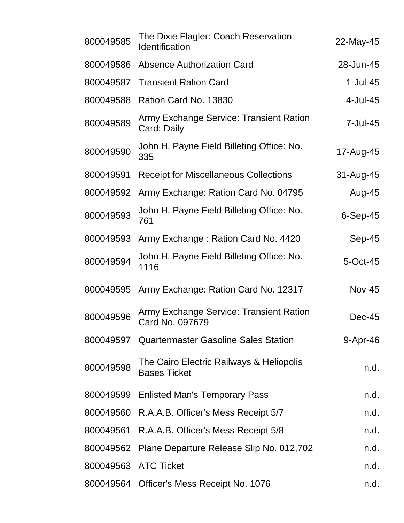| 800049585            | The Dixie Flagler: Coach Reservation<br><b>Identification</b>   | 22-May-45     |
|----------------------|-----------------------------------------------------------------|---------------|
| 800049586            | <b>Absence Authorization Card</b>                               | 28-Jun-45     |
| 800049587            | <b>Transient Ration Card</b>                                    | $1$ -Jul-45   |
| 800049588            | Ration Card No. 13830                                           | 4-Jul-45      |
| 800049589            | Army Exchange Service: Transient Ration<br>Card: Daily          | 7-Jul-45      |
| 800049590            | John H. Payne Field Billeting Office: No.<br>335                | 17-Aug-45     |
| 800049591            | <b>Receipt for Miscellaneous Collections</b>                    | 31-Aug-45     |
| 800049592            | Army Exchange: Ration Card No. 04795                            | Aug-45        |
| 800049593            | John H. Payne Field Billeting Office: No.<br>761                | $6-Sep-45$    |
| 800049593            | Army Exchange: Ration Card No. 4420                             | Sep-45        |
| 800049594            | John H. Payne Field Billeting Office: No.<br>1116               | 5-Oct-45      |
| 800049595            | Army Exchange: Ration Card No. 12317                            | <b>Nov-45</b> |
| 800049596            | Army Exchange Service: Transient Ration<br>Card No. 097679      | $Dec-45$      |
|                      | 800049597 Quartermaster Gasoline Sales Station                  | $9-Apr-46$    |
| 800049598            | The Cairo Electric Railways & Heliopolis<br><b>Bases Ticket</b> | n.d.          |
| 800049599            | <b>Enlisted Man's Temporary Pass</b>                            | n.d.          |
|                      | 800049560 R.A.A.B. Officer's Mess Receipt 5/7                   | n.d.          |
| 800049561            | R.A.A.B. Officer's Mess Receipt 5/8                             | n.d.          |
| 800049562            | Plane Departure Release Slip No. 012,702                        | n.d.          |
| 800049563 ATC Ticket |                                                                 | n.d.          |
|                      | 800049564 Officer's Mess Receipt No. 1076                       | n.d.          |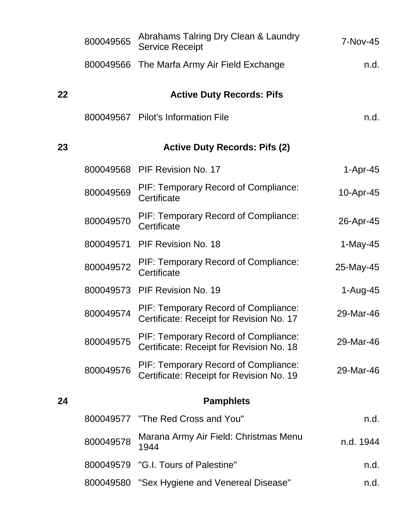|    | 800049565 | Abrahams Talring Dry Clean & Laundry<br><b>Service Receipt</b>                   | 7-Nov-45   |
|----|-----------|----------------------------------------------------------------------------------|------------|
|    |           | 800049566 The Marfa Army Air Field Exchange                                      | n.d.       |
| 22 |           | <b>Active Duty Records: Pifs</b>                                                 |            |
|    |           | 800049567 Pilot's Information File                                               | n.d.       |
| 23 |           | <b>Active Duty Records: Pifs (2)</b>                                             |            |
|    |           | 800049568 PIF Revision No. 17                                                    | $1-Apr-45$ |
|    | 800049569 | PIF: Temporary Record of Compliance:<br>Certificate                              | 10-Apr-45  |
|    | 800049570 | PIF: Temporary Record of Compliance:<br>Certificate                              | 26-Apr-45  |
|    | 800049571 | <b>PIF Revision No. 18</b>                                                       | $1-May-45$ |
|    | 800049572 | PIF: Temporary Record of Compliance:<br>Certificate                              | 25-May-45  |
|    | 800049573 | PIF Revision No. 19                                                              | $1-Aug-45$ |
|    | 800049574 | PIF: Temporary Record of Compliance:<br>Certificate: Receipt for Revision No. 17 | 29-Mar-46  |
|    | 800049575 | PIF: Temporary Record of Compliance:<br>Certificate: Receipt for Revision No. 18 | 29-Mar-46  |
|    | 800049576 | PIF: Temporary Record of Compliance:<br>Certificate: Receipt for Revision No. 19 | 29-Mar-46  |
| 24 |           | <b>Pamphlets</b>                                                                 |            |
|    |           | 800049577 "The Red Cross and You"                                                | n.d.       |
|    | 800049578 | Marana Army Air Field: Christmas Menu<br>1944                                    | n.d. 1944  |
|    | 800049579 | "G.I. Tours of Palestine"                                                        | n.d.       |
|    | 800049580 | "Sex Hygiene and Venereal Disease"                                               | n.d.       |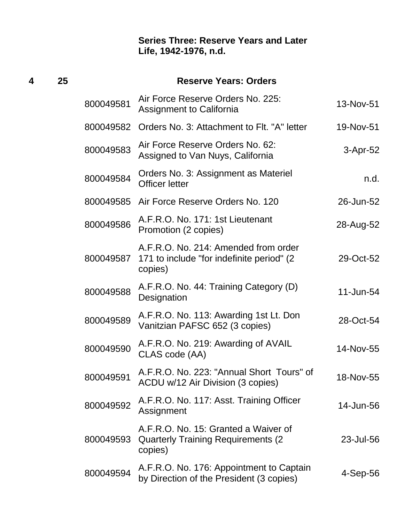| 4 | 25 |           | <b>Reserve Years: Orders</b>                                                                  |           |  |  |
|---|----|-----------|-----------------------------------------------------------------------------------------------|-----------|--|--|
|   |    | 800049581 | Air Force Reserve Orders No. 225:<br><b>Assignment to California</b>                          | 13-Nov-51 |  |  |
|   |    | 800049582 | Orders No. 3: Attachment to Flt. "A" letter                                                   | 19-Nov-51 |  |  |
|   |    | 800049583 | Air Force Reserve Orders No. 62:<br>Assigned to Van Nuys, California                          | 3-Apr-52  |  |  |
|   |    | 800049584 | Orders No. 3: Assignment as Materiel<br><b>Officer letter</b>                                 | n.d.      |  |  |
|   |    |           | 800049585 Air Force Reserve Orders No. 120                                                    | 26-Jun-52 |  |  |
|   |    | 800049586 | A.F.R.O. No. 171: 1st Lieutenant<br>Promotion (2 copies)                                      | 28-Aug-52 |  |  |
|   |    | 800049587 | A.F.R.O. No. 214: Amended from order<br>171 to include "for indefinite period" (2)<br>copies) | 29-Oct-52 |  |  |
|   |    | 800049588 | A.F.R.O. No. 44: Training Category (D)<br>Designation                                         | 11-Jun-54 |  |  |
|   |    | 800049589 | A.F.R.O. No. 113: Awarding 1st Lt. Don<br>Vanitzian PAFSC 652 (3 copies)                      | 28-Oct-54 |  |  |
|   |    | 800049590 | A.F.R.O. No. 219: Awarding of AVAIL<br>CLAS code (AA)                                         | 14-Nov-55 |  |  |
|   |    | 800049591 | A.F.R.O. No. 223: "Annual Short Tours" of<br>ACDU w/12 Air Division (3 copies)                | 18-Nov-55 |  |  |
|   |    | 800049592 | A.F.R.O. No. 117: Asst. Training Officer<br>Assignment                                        | 14-Jun-56 |  |  |
|   |    | 800049593 | A.F.R.O. No. 15: Granted a Waiver of<br><b>Quarterly Training Requirements (2)</b><br>copies) | 23-Jul-56 |  |  |
|   |    | 800049594 | A.F.R.O. No. 176: Appointment to Captain<br>by Direction of the President (3 copies)          | 4-Sep-56  |  |  |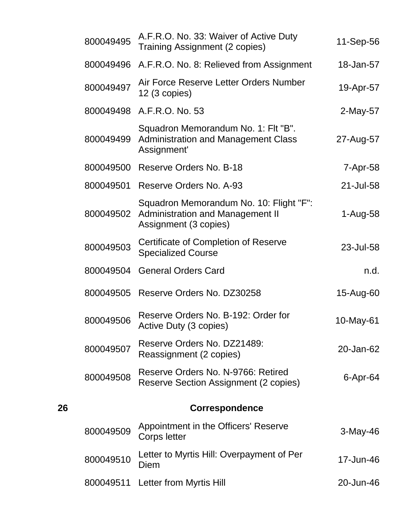|    | 800049495 | A.F.R.O. No. 33: Waiver of Active Duty<br>Training Assignment (2 copies)                                    | 11-Sep-56 |
|----|-----------|-------------------------------------------------------------------------------------------------------------|-----------|
|    |           | 800049496 A.F.R.O. No. 8: Relieved from Assignment                                                          | 18-Jan-57 |
|    | 800049497 | Air Force Reserve Letter Orders Number<br>12 (3 copies)                                                     | 19-Apr-57 |
|    |           | 800049498 A.F.R.O. No. 53                                                                                   | 2-May-57  |
|    | 800049499 | Squadron Memorandum No. 1: Flt "B".<br><b>Administration and Management Class</b><br>Assignment'            | 27-Aug-57 |
|    | 800049500 | Reserve Orders No. B-18                                                                                     | 7-Apr-58  |
|    | 800049501 | Reserve Orders No. A-93                                                                                     | 21-Jul-58 |
|    | 800049502 | Squadron Memorandum No. 10: Flight "F":<br><b>Administration and Management II</b><br>Assignment (3 copies) | 1-Aug-58  |
|    | 800049503 | Certificate of Completion of Reserve<br><b>Specialized Course</b>                                           | 23-Jul-58 |
|    | 800049504 | <b>General Orders Card</b>                                                                                  | n.d.      |
|    | 800049505 | Reserve Orders No. DZ30258                                                                                  | 15-Aug-60 |
|    | 800049506 | Reserve Orders No. B-192: Order for<br>Active Duty (3 copies)                                               | 10-May-61 |
|    | 800049507 | Reserve Orders No. DZ21489:<br>Reassignment (2 copies)                                                      | 20-Jan-62 |
|    | 800049508 | Reserve Orders No. N-9766: Retired<br>Reserve Section Assignment (2 copies)                                 | 6-Apr-64  |
| 26 |           | <b>Correspondence</b>                                                                                       |           |
|    | 800049509 | Appointment in the Officers' Reserve<br>Corps letter                                                        | 3-May-46  |
|    | 800049510 | Letter to Myrtis Hill: Overpayment of Per<br>Diem                                                           | 17-Jun-46 |
|    | 800049511 | Letter from Myrtis Hill                                                                                     | 20-Jun-46 |
|    |           |                                                                                                             |           |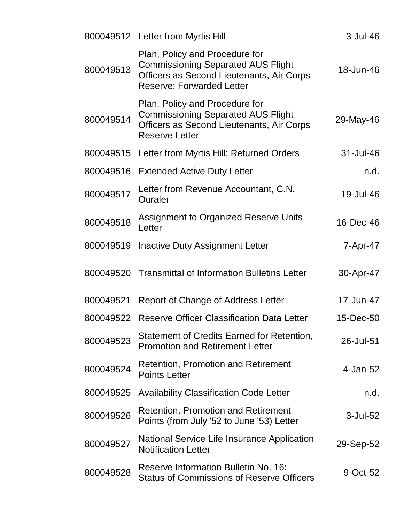|           | 800049512 Letter from Myrtis Hill                                                                                                                            | $3$ -Jul-46 |
|-----------|--------------------------------------------------------------------------------------------------------------------------------------------------------------|-------------|
| 800049513 | Plan, Policy and Procedure for<br><b>Commissioning Separated AUS Flight</b><br>Officers as Second Lieutenants, Air Corps<br><b>Reserve: Forwarded Letter</b> | 18-Jun-46   |
| 800049514 | Plan, Policy and Procedure for<br><b>Commissioning Separated AUS Flight</b><br>Officers as Second Lieutenants, Air Corps<br><b>Reserve Letter</b>            | 29-May-46   |
| 800049515 | Letter from Myrtis Hill: Returned Orders                                                                                                                     | 31-Jul-46   |
| 800049516 | <b>Extended Active Duty Letter</b>                                                                                                                           | n.d.        |
| 800049517 | Letter from Revenue Accountant, C.N.<br>Ouraler                                                                                                              | 19-Jul-46   |
| 800049518 | <b>Assignment to Organized Reserve Units</b><br>Letter                                                                                                       | 16-Dec-46   |
| 800049519 | Inactive Duty Assignment Letter                                                                                                                              | 7-Apr-47    |
| 800049520 | <b>Transmittal of Information Bulletins Letter</b>                                                                                                           | 30-Apr-47   |
| 800049521 | Report of Change of Address Letter                                                                                                                           | 17-Jun-47   |
| 800049522 | Reserve Officer Classification Data Letter                                                                                                                   | 15-Dec-50   |
| 800049523 | Statement of Credits Earned for Retention,<br><b>Promotion and Retirement Letter</b>                                                                         | 26-Jul-51   |
| 800049524 | <b>Retention, Promotion and Retirement</b><br><b>Points Letter</b>                                                                                           | 4-Jan-52    |
| 800049525 | <b>Availability Classification Code Letter</b>                                                                                                               | n.d.        |
| 800049526 | <b>Retention, Promotion and Retirement</b><br>Points (from July '52 to June '53) Letter                                                                      | 3-Jul-52    |
| 800049527 | National Service Life Insurance Application<br><b>Notification Letter</b>                                                                                    | 29-Sep-52   |
| 800049528 | Reserve Information Bulletin No. 16:<br><b>Status of Commissions of Reserve Officers</b>                                                                     | 9-Oct-52    |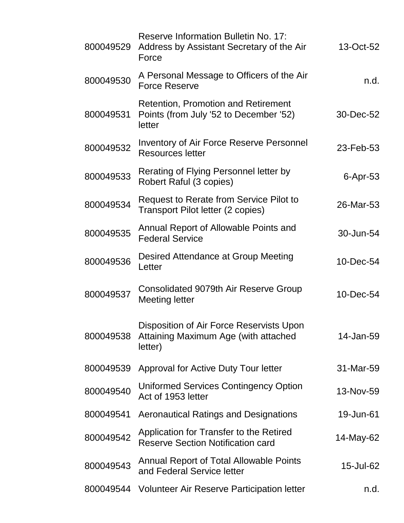| 800049529 | <b>Reserve Information Bulletin No. 17:</b><br>Address by Assistant Secretary of the Air<br>Force | 13-Oct-52   |
|-----------|---------------------------------------------------------------------------------------------------|-------------|
| 800049530 | A Personal Message to Officers of the Air<br><b>Force Reserve</b>                                 | n.d.        |
| 800049531 | <b>Retention, Promotion and Retirement</b><br>Points (from July '52 to December '52)<br>letter    | 30-Dec-52   |
| 800049532 | <b>Inventory of Air Force Reserve Personnel</b><br><b>Resources letter</b>                        | 23-Feb-53   |
| 800049533 | Rerating of Flying Personnel letter by<br>Robert Raful (3 copies)                                 | $6$ -Apr-53 |
| 800049534 | Request to Rerate from Service Pilot to<br>Transport Pilot letter (2 copies)                      | 26-Mar-53   |
| 800049535 | Annual Report of Allowable Points and<br><b>Federal Service</b>                                   | 30-Jun-54   |
| 800049536 | Desired Attendance at Group Meeting<br>Letter                                                     | 10-Dec-54   |
| 800049537 | <b>Consolidated 9079th Air Reserve Group</b><br>Meeting letter                                    | 10-Dec-54   |
| 800049538 | Disposition of Air Force Reservists Upon<br>Attaining Maximum Age (with attached<br>letter)       | 14-Jan-59   |
| 800049539 | Approval for Active Duty Tour letter                                                              | 31-Mar-59   |
| 800049540 | <b>Uniformed Services Contingency Option</b><br>Act of 1953 letter                                | 13-Nov-59   |
| 800049541 | <b>Aeronautical Ratings and Designations</b>                                                      | 19-Jun-61   |
| 800049542 | Application for Transfer to the Retired<br><b>Reserve Section Notification card</b>               | 14-May-62   |
| 800049543 | <b>Annual Report of Total Allowable Points</b><br>and Federal Service letter                      | 15-Jul-62   |
| 800049544 | <b>Volunteer Air Reserve Participation letter</b>                                                 | n.d.        |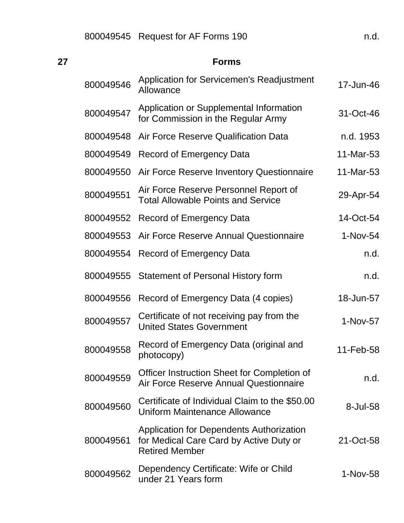| 27 |           | <b>Forms</b>                                                                                                        |           |
|----|-----------|---------------------------------------------------------------------------------------------------------------------|-----------|
|    | 800049546 | <b>Application for Servicemen's Readjustment</b><br>Allowance                                                       | 17-Jun-46 |
|    | 800049547 | Application or Supplemental Information<br>for Commission in the Regular Army                                       | 31-Oct-46 |
|    | 800049548 | Air Force Reserve Qualification Data                                                                                | n.d. 1953 |
|    | 800049549 | Record of Emergency Data                                                                                            | 11-Mar-53 |
|    | 800049550 | Air Force Reserve Inventory Questionnaire                                                                           | 11-Mar-53 |
|    | 800049551 | Air Force Reserve Personnel Report of<br><b>Total Allowable Points and Service</b>                                  | 29-Apr-54 |
|    | 800049552 | Record of Emergency Data                                                                                            | 14-Oct-54 |
|    | 800049553 | Air Force Reserve Annual Questionnaire                                                                              | 1-Nov-54  |
|    | 800049554 | <b>Record of Emergency Data</b>                                                                                     | n.d.      |
|    | 800049555 | <b>Statement of Personal History form</b>                                                                           | n.d.      |
|    | 800049556 | Record of Emergency Data (4 copies)                                                                                 | 18-Jun-57 |
|    | 800049557 | Certificate of not receiving pay from the<br><b>United States Government</b>                                        | 1-Nov-57  |
|    | 800049558 | Record of Emergency Data (original and<br>photocopy)                                                                | 11-Feb-58 |
|    | 800049559 | Officer Instruction Sheet for Completion of<br>Air Force Reserve Annual Questionnaire                               | n.d.      |
|    | 800049560 | Certificate of Individual Claim to the \$50.00<br>Uniform Maintenance Allowance                                     | 8-Jul-58  |
|    | 800049561 | <b>Application for Dependents Authorization</b><br>for Medical Care Card by Active Duty or<br><b>Retired Member</b> | 21-Oct-58 |
|    | 800049562 | Dependency Certificate: Wife or Child<br>under 21 Years form                                                        | 1-Nov-58  |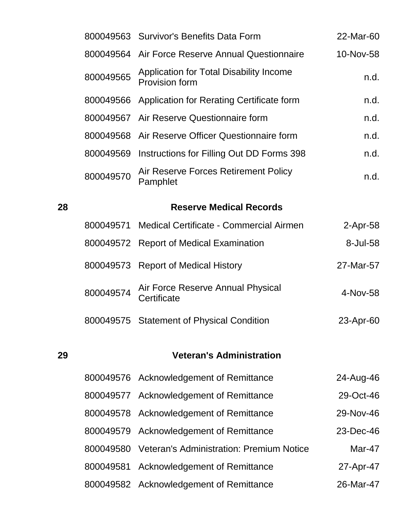|    |           | 800049563 Survivor's Benefits Data Form                          | 22-Mar-60   |
|----|-----------|------------------------------------------------------------------|-------------|
|    |           | 800049564 Air Force Reserve Annual Questionnaire                 | 10-Nov-58   |
|    | 800049565 | Application for Total Disability Income<br><b>Provision form</b> | n.d.        |
|    | 800049566 | Application for Rerating Certificate form                        | n.d.        |
|    | 800049567 | Air Reserve Questionnaire form                                   | n.d.        |
|    | 800049568 | Air Reserve Officer Questionnaire form                           | n.d.        |
|    | 800049569 | Instructions for Filling Out DD Forms 398                        | n.d.        |
|    | 800049570 | Air Reserve Forces Retirement Policy<br>Pamphlet                 | n.d.        |
| 28 |           | <b>Reserve Medical Records</b>                                   |             |
|    | 800049571 | Medical Certificate - Commercial Airmen                          | $2$ -Apr-58 |
|    |           | 800049572 Report of Medical Examination                          | 8-Jul-58    |
|    | 800049573 | <b>Report of Medical History</b>                                 | 27-Mar-57   |
|    | 800049574 | Air Force Reserve Annual Physical<br>Certificate                 | 4-Nov-58    |
|    | 800049575 | <b>Statement of Physical Condition</b>                           | 23-Apr-60   |
| 29 |           | <b>Veteran's Administration</b>                                  |             |
|    | 800049576 | Acknowledgement of Remittance                                    | 24-Aug-46   |
|    | 800049577 | <b>Acknowledgement of Remittance</b>                             | 29-Oct-46   |
|    | 800049578 | Acknowledgement of Remittance                                    | 29-Nov-46   |
|    | 800049579 | Acknowledgement of Remittance                                    | 23-Dec-46   |
|    | 800049580 | <b>Veteran's Administration: Premium Notice</b>                  | Mar-47      |
|    | 800049581 | Acknowledgement of Remittance                                    | 27-Apr-47   |
|    | 800049582 | <b>Acknowledgement of Remittance</b>                             | 26-Mar-47   |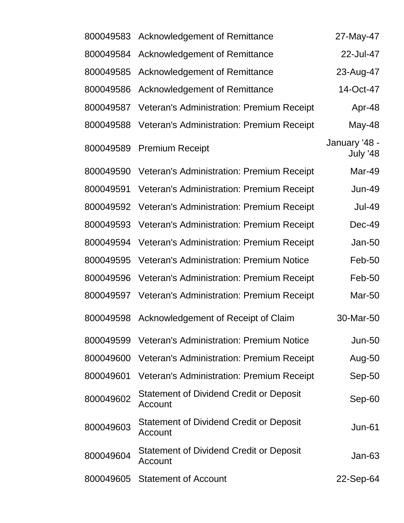| 800049583 | Acknowledgement of Remittance                             | 27-May-47                 |
|-----------|-----------------------------------------------------------|---------------------------|
| 800049584 | <b>Acknowledgement of Remittance</b>                      | 22-Jul-47                 |
| 800049585 | <b>Acknowledgement of Remittance</b>                      | 23-Aug-47                 |
| 800049586 | <b>Acknowledgement of Remittance</b>                      | 14-Oct-47                 |
| 800049587 | Veteran's Administration: Premium Receipt                 | Apr-48                    |
| 800049588 | Veteran's Administration: Premium Receipt                 | May-48                    |
| 800049589 | <b>Premium Receipt</b>                                    | January '48 -<br>July '48 |
|           | 800049590 Veteran's Administration: Premium Receipt       | Mar-49                    |
| 800049591 | Veteran's Administration: Premium Receipt                 | <b>Jun-49</b>             |
| 800049592 | Veteran's Administration: Premium Receipt                 | <b>Jul-49</b>             |
| 800049593 | Veteran's Administration: Premium Receipt                 | Dec-49                    |
| 800049594 | <b>Veteran's Administration: Premium Receipt</b>          | <b>Jan-50</b>             |
| 800049595 | <b>Veteran's Administration: Premium Notice</b>           | Feb-50                    |
| 800049596 | Veteran's Administration: Premium Receipt                 | Feb-50                    |
| 800049597 | Veteran's Administration: Premium Receipt                 | <b>Mar-50</b>             |
| 800049598 | Acknowledgement of Receipt of Claim                       | 30-Mar-50                 |
| 800049599 | <b>Veteran's Administration: Premium Notice</b>           | <b>Jun-50</b>             |
| 800049600 | Veteran's Administration: Premium Receipt                 | Aug-50                    |
| 800049601 | Veteran's Administration: Premium Receipt                 | Sep-50                    |
| 800049602 | <b>Statement of Dividend Credit or Deposit</b><br>Account | Sep-60                    |
| 800049603 | Statement of Dividend Credit or Deposit<br>Account        | <b>Jun-61</b>             |
| 800049604 | Statement of Dividend Credit or Deposit<br>Account        | <b>Jan-63</b>             |
| 800049605 | <b>Statement of Account</b>                               | 22-Sep-64                 |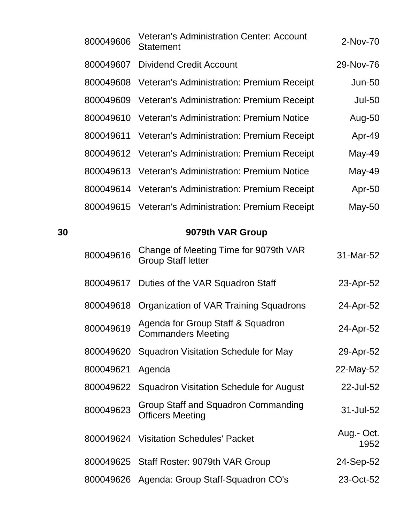| 800049606 | <b>Veteran's Administration Center: Account</b><br><b>Statement</b> | 2-Nov-70      |
|-----------|---------------------------------------------------------------------|---------------|
|           | 800049607 Dividend Credit Account                                   | 29-Nov-76     |
|           | 800049608 Veteran's Administration: Premium Receipt                 | <b>Jun-50</b> |
|           | 800049609 Veteran's Administration: Premium Receipt                 | <b>Jul-50</b> |
|           | 800049610 Veteran's Administration: Premium Notice                  | Aug-50        |
|           | 800049611 Veteran's Administration: Premium Receipt                 | Apr-49        |
|           | 800049612 Veteran's Administration: Premium Receipt                 | $May-49$      |
|           | 800049613 Veteran's Administration: Premium Notice                  | $May-49$      |
|           | 800049614 Veteran's Administration: Premium Receipt                 | Apr-50        |
|           | 800049615 Veteran's Administration: Premium Receipt                 | May-50        |
|           |                                                                     |               |

## **9079th VAR Group**

| 800049616 | Change of Meeting Time for 9079th VAR<br><b>Group Staff letter</b> | 31-Mar-52          |
|-----------|--------------------------------------------------------------------|--------------------|
| 800049617 | Duties of the VAR Squadron Staff                                   | 23-Apr-52          |
| 800049618 | Organization of VAR Training Squadrons                             | 24-Apr-52          |
| 800049619 | Agenda for Group Staff & Squadron<br><b>Commanders Meeting</b>     | 24-Apr-52          |
| 800049620 | Squadron Visitation Schedule for May                               | 29-Apr-52          |
| 800049621 | Agenda                                                             | 22-May-52          |
| 800049622 | <b>Squadron Visitation Schedule for August</b>                     | 22-Jul-52          |
| 800049623 | Group Staff and Squadron Commanding<br><b>Officers Meeting</b>     | 31-Jul-52          |
| 800049624 | <b>Visitation Schedules' Packet</b>                                | Aug.- Oct.<br>1952 |
|           | 800049625 Staff Roster: 9079th VAR Group                           | 24-Sep-52          |
|           | 800049626 Agenda: Group Staff-Squadron CO's                        | 23-Oct-52          |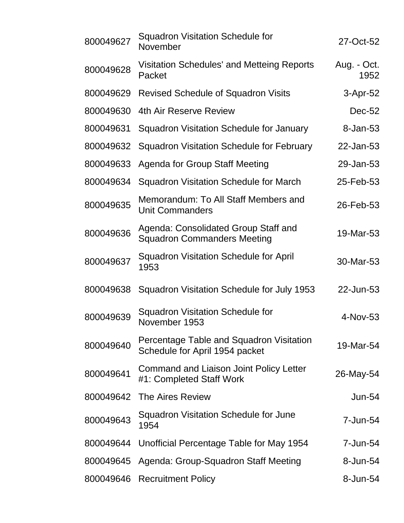| 800049627 | <b>Squadron Visitation Schedule for</b><br>November                        | 27-Oct-52           |
|-----------|----------------------------------------------------------------------------|---------------------|
| 800049628 | <b>Visitation Schedules' and Metteing Reports</b><br>Packet                | Aug. - Oct.<br>1952 |
| 800049629 | <b>Revised Schedule of Squadron Visits</b>                                 | 3-Apr-52            |
| 800049630 | 4th Air Reserve Review                                                     | $Dec-52$            |
| 800049631 | Squadron Visitation Schedule for January                                   | 8-Jan-53            |
| 800049632 | Squadron Visitation Schedule for February                                  | 22-Jan-53           |
| 800049633 | <b>Agenda for Group Staff Meeting</b>                                      | 29-Jan-53           |
| 800049634 | <b>Squadron Visitation Schedule for March</b>                              | 25-Feb-53           |
| 800049635 | Memorandum: To All Staff Members and<br><b>Unit Commanders</b>             | 26-Feb-53           |
| 800049636 | Agenda: Consolidated Group Staff and<br><b>Squadron Commanders Meeting</b> | 19-Mar-53           |
| 800049637 | <b>Squadron Visitation Schedule for April</b><br>1953                      | 30-Mar-53           |
| 800049638 | Squadron Visitation Schedule for July 1953                                 | 22-Jun-53           |
| 800049639 | <b>Squadron Visitation Schedule for</b><br>November 1953                   | 4-Nov-53            |
| 800049640 | Percentage Table and Squadron Visitation<br>Schedule for April 1954 packet | 19-Mar-54           |
| 800049641 | <b>Command and Liaison Joint Policy Letter</b><br>#1: Completed Staff Work | 26-May-54           |
| 800049642 | The Aires Review                                                           | $Jun-54$            |
| 800049643 | Squadron Visitation Schedule for June<br>1954                              | 7-Jun-54            |
| 800049644 | Unofficial Percentage Table for May 1954                                   | 7-Jun-54            |
| 800049645 | Agenda: Group-Squadron Staff Meeting                                       | 8-Jun-54            |
| 800049646 | <b>Recruitment Policy</b>                                                  | 8-Jun-54            |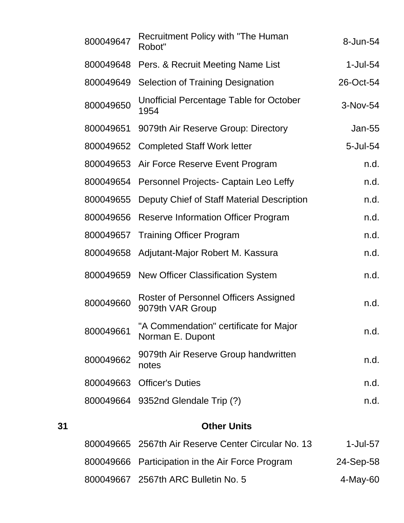|    | 800049647 | <b>Recruitment Policy with "The Human</b><br>Robot"              | 8-Jun-54    |
|----|-----------|------------------------------------------------------------------|-------------|
|    | 800049648 | Pers. & Recruit Meeting Name List                                | $1$ -Jul-54 |
|    | 800049649 | <b>Selection of Training Designation</b>                         | 26-Oct-54   |
|    | 800049650 | <b>Unofficial Percentage Table for October</b><br>1954           | 3-Nov-54    |
|    | 800049651 | 9079th Air Reserve Group: Directory                              | Jan-55      |
|    |           | 800049652 Completed Staff Work letter                            | 5-Jul-54    |
|    | 800049653 | Air Force Reserve Event Program                                  | n.d.        |
|    | 800049654 | Personnel Projects- Captain Leo Leffy                            | n.d.        |
|    | 800049655 | Deputy Chief of Staff Material Description                       | n.d.        |
|    |           | 800049656 Reserve Information Officer Program                    | n.d.        |
|    | 800049657 | <b>Training Officer Program</b>                                  | n.d.        |
|    | 800049658 | Adjutant-Major Robert M. Kassura                                 | n.d.        |
|    | 800049659 | <b>New Officer Classification System</b>                         | n.d.        |
|    | 800049660 | <b>Roster of Personnel Officers Assigned</b><br>9079th VAR Group | n.d.        |
|    | 800049661 | "A Commendation" certificate for Major<br>Norman E. Dupont       | n.d.        |
|    | 800049662 | 9079th Air Reserve Group handwritten<br>notes                    | n.d.        |
|    | 800049663 | <b>Officer's Duties</b>                                          | n.d.        |
|    |           | 800049664 9352nd Glendale Trip (?)                               | n.d.        |
| 31 |           | <b>Other Units</b>                                               |             |

| 800049665 2567th Air Reserve Center Circular No. 13 | 1-Jul-57  |
|-----------------------------------------------------|-----------|
| 800049666 Participation in the Air Force Program    | 24-Sep-58 |
| 800049667 2567th ARC Bulletin No. 5                 | 4-May-60  |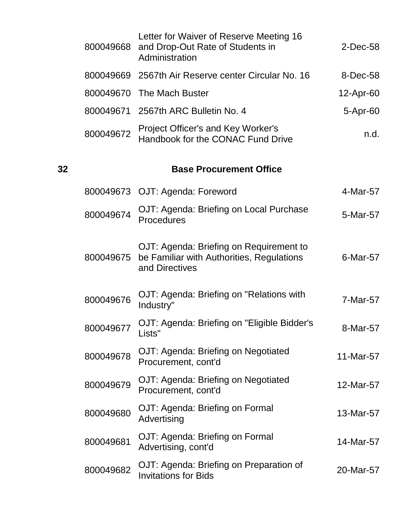|    | 800049668 | Letter for Waiver of Reserve Meeting 16<br>and Drop-Out Rate of Students in<br>Administration          | $2$ -Dec-58 |
|----|-----------|--------------------------------------------------------------------------------------------------------|-------------|
|    |           | 800049669 2567th Air Reserve center Circular No. 16                                                    | 8-Dec-58    |
|    |           | 800049670 The Mach Buster                                                                              | 12-Apr-60   |
|    |           | 800049671 2567th ARC Bulletin No. 4                                                                    | 5-Apr-60    |
|    | 800049672 | Project Officer's and Key Worker's<br>Handbook for the CONAC Fund Drive                                | n.d.        |
| 32 |           | <b>Base Procurement Office</b>                                                                         |             |
|    |           | 800049673 OJT: Agenda: Foreword                                                                        | 4-Mar-57    |
|    | 800049674 | OJT: Agenda: Briefing on Local Purchase<br>Procedures                                                  | 5-Mar-57    |
|    | 800049675 | OJT: Agenda: Briefing on Requirement to<br>be Familiar with Authorities, Regulations<br>and Directives | 6-Mar-57    |
|    | 800049676 | OJT: Agenda: Briefing on "Relations with<br>Industry"                                                  | 7-Mar-57    |
|    | 800049677 | OJT: Agenda: Briefing on "Eligible Bidder's<br>Lists"                                                  | 8-Mar-57    |
|    | 800049678 | OJT: Agenda: Briefing on Negotiated<br>Procurement, cont'd                                             | 11-Mar-57   |
|    | 800049679 | OJT: Agenda: Briefing on Negotiated<br>Procurement, cont'd                                             | 12-Mar-57   |
|    | 800049680 | OJT: Agenda: Briefing on Formal<br>Advertising                                                         | 13-Mar-57   |
|    | 800049681 | OJT: Agenda: Briefing on Formal<br>Advertising, cont'd                                                 | 14-Mar-57   |
|    | 800049682 | OJT: Agenda: Briefing on Preparation of<br><b>Invitations for Bids</b>                                 | 20-Mar-57   |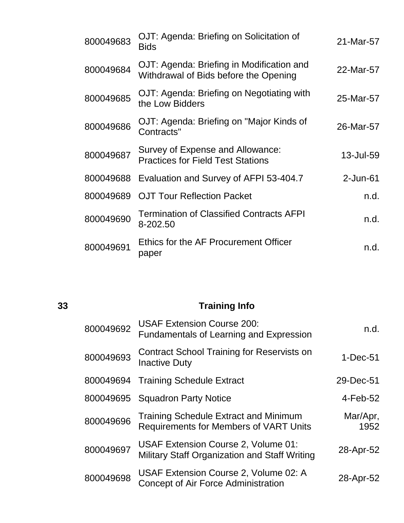| 800049683 | OJT: Agenda: Briefing on Solicitation of<br><b>Bids</b>                            | 21-Mar-57   |
|-----------|------------------------------------------------------------------------------------|-------------|
| 800049684 | OJT: Agenda: Briefing in Modification and<br>Withdrawal of Bids before the Opening | 22-Mar-57   |
| 800049685 | OJT: Agenda: Briefing on Negotiating with<br>the Low Bidders                       | 25-Mar-57   |
| 800049686 | OJT: Agenda: Briefing on "Major Kinds of<br>Contracts"                             | 26-Mar-57   |
| 800049687 | Survey of Expense and Allowance:<br><b>Practices for Field Test Stations</b>       | 13-Jul-59   |
| 800049688 | Evaluation and Survey of AFPI 53-404.7                                             | $2$ -Jun-61 |
| 800049689 | <b>OJT Tour Reflection Packet</b>                                                  | n.d.        |
| 800049690 | <b>Termination of Classified Contracts AFPI</b><br>8-202.50                        | n.d.        |
| 800049691 | Ethics for the AF Procurement Officer<br>paper                                     | n.d.        |

## **33 Training Info**

| n.d.             | <b>USAF Extension Course 200:</b><br><b>Fundamentals of Learning and Expression</b>           | 800049692 |
|------------------|-----------------------------------------------------------------------------------------------|-----------|
| $1-Dec-51$       | <b>Contract School Training for Reservists on</b><br><b>Inactive Duty</b>                     | 800049693 |
| 29-Dec-51        | <b>Training Schedule Extract</b>                                                              | 800049694 |
| $4$ -Feb-52      | <b>Squadron Party Notice</b>                                                                  | 800049695 |
| Mar/Apr,<br>1952 | <b>Training Schedule Extract and Minimum</b><br><b>Requirements for Members of VART Units</b> | 800049696 |
| 28-Apr-52        | USAF Extension Course 2, Volume 01:<br>Military Staff Organization and Staff Writing          | 800049697 |
| 28-Apr-52        | USAF Extension Course 2, Volume 02: A<br>Concept of Air Force Administration                  | 800049698 |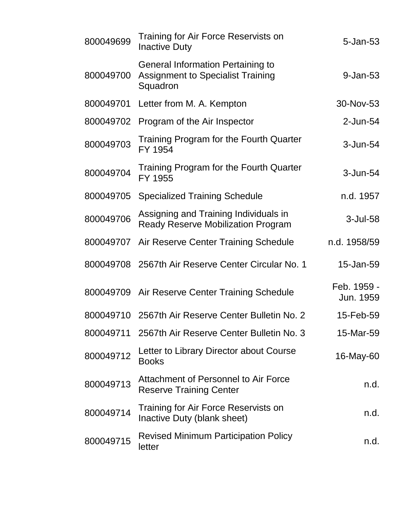| 800049699 | Training for Air Force Reservists on<br><b>Inactive Duty</b>                                     | 5-Jan-53                 |
|-----------|--------------------------------------------------------------------------------------------------|--------------------------|
| 800049700 | <b>General Information Pertaining to</b><br><b>Assignment to Specialist Training</b><br>Squadron | 9-Jan-53                 |
| 800049701 | Letter from M. A. Kempton                                                                        | 30-Nov-53                |
| 800049702 | Program of the Air Inspector                                                                     | 2-Jun-54                 |
| 800049703 | Training Program for the Fourth Quarter<br>FY 1954                                               | 3-Jun-54                 |
| 800049704 | Training Program for the Fourth Quarter<br>FY 1955                                               | 3-Jun-54                 |
| 800049705 | <b>Specialized Training Schedule</b>                                                             | n.d. 1957                |
| 800049706 | Assigning and Training Individuals in<br><b>Ready Reserve Mobilization Program</b>               | $3$ -Jul-58              |
| 800049707 | Air Reserve Center Training Schedule                                                             | n.d. 1958/59             |
|           | 800049708 2567th Air Reserve Center Circular No. 1                                               | 15-Jan-59                |
|           | 800049709 Air Reserve Center Training Schedule                                                   | Feb. 1959 -<br>Jun. 1959 |
| 800049710 | 2567th Air Reserve Center Bulletin No. 2                                                         | 15-Feb-59                |
| 800049711 | 2567th Air Reserve Center Bulletin No. 3                                                         | 15-Mar-59                |
| 800049712 | Letter to Library Director about Course<br><b>Books</b>                                          | 16-May-60                |
| 800049713 | Attachment of Personnel to Air Force<br><b>Reserve Training Center</b>                           | n.d.                     |
| 800049714 | Training for Air Force Reservists on<br>Inactive Duty (blank sheet)                              | n.d.                     |
| 800049715 | <b>Revised Minimum Participation Policy</b><br>letter                                            | n.d.                     |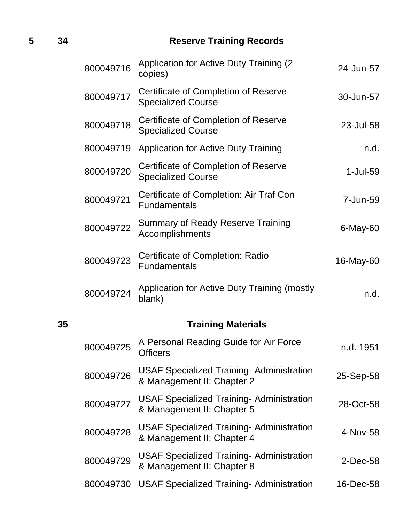## **5 34 Reserve Training Records**

|    | 800049716 | <b>Application for Active Duty Training (2)</b><br>copies)                     | 24-Jun-57 |
|----|-----------|--------------------------------------------------------------------------------|-----------|
|    | 800049717 | Certificate of Completion of Reserve<br><b>Specialized Course</b>              | 30-Jun-57 |
|    | 800049718 | Certificate of Completion of Reserve<br><b>Specialized Course</b>              | 23-Jul-58 |
|    | 800049719 | <b>Application for Active Duty Training</b>                                    | n.d.      |
|    | 800049720 | Certificate of Completion of Reserve<br><b>Specialized Course</b>              | 1-Jul-59  |
|    | 800049721 | Certificate of Completion: Air Traf Con<br><b>Fundamentals</b>                 | 7-Jun-59  |
|    | 800049722 | <b>Summary of Ready Reserve Training</b><br>Accomplishments                    | 6-May-60  |
|    | 800049723 | Certificate of Completion: Radio<br><b>Fundamentals</b>                        | 16-May-60 |
|    | 800049724 | Application for Active Duty Training (mostly<br>blank)                         | n.d.      |
| 35 |           | <b>Training Materials</b>                                                      |           |
|    | 800049725 | A Personal Reading Guide for Air Force<br><b>Officers</b>                      | n.d. 1951 |
|    | 800049726 | <b>USAF Specialized Training- Administration</b><br>& Management II: Chapter 2 | 25-Sep-58 |
|    | 800049727 | <b>USAF Specialized Training- Administration</b><br>& Management II: Chapter 5 | 28-Oct-58 |
|    | 800049728 | <b>USAF Specialized Training- Administration</b><br>& Management II: Chapter 4 | 4-Nov-58  |
|    | 800049729 | <b>USAF Specialized Training- Administration</b><br>& Management II: Chapter 8 | 2-Dec-58  |
|    | 800049730 | <b>USAF Specialized Training-Administration</b>                                | 16-Dec-58 |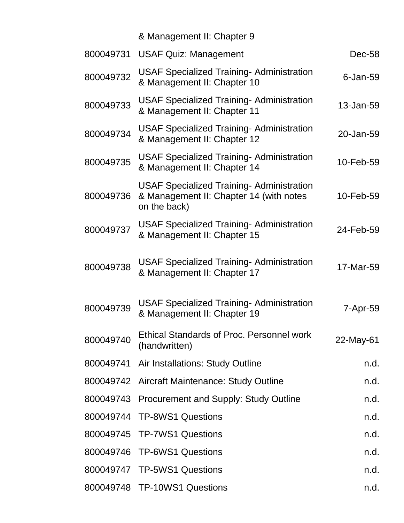## & Management II: Chapter 9

| 800049731 | <b>USAF Quiz: Management</b>                                                                                | Dec-58      |
|-----------|-------------------------------------------------------------------------------------------------------------|-------------|
| 800049732 | <b>USAF Specialized Training- Administration</b><br>& Management II: Chapter 10                             | $6$ -Jan-59 |
| 800049733 | <b>USAF Specialized Training- Administration</b><br>& Management II: Chapter 11                             | 13-Jan-59   |
| 800049734 | <b>USAF Specialized Training- Administration</b><br>& Management II: Chapter 12                             | 20-Jan-59   |
| 800049735 | <b>USAF Specialized Training- Administration</b><br>& Management II: Chapter 14                             | 10-Feb-59   |
| 800049736 | <b>USAF Specialized Training- Administration</b><br>& Management II: Chapter 14 (with notes<br>on the back) | 10-Feb-59   |
| 800049737 | <b>USAF Specialized Training- Administration</b><br>& Management II: Chapter 15                             | 24-Feb-59   |
| 800049738 | <b>USAF Specialized Training- Administration</b><br>& Management II: Chapter 17                             | 17-Mar-59   |
| 800049739 | <b>USAF Specialized Training- Administration</b><br>& Management II: Chapter 19                             | 7-Apr-59    |
| 800049740 | <b>Ethical Standards of Proc. Personnel work</b><br>(handwritten)                                           | 22-May-61   |
|           | 800049741 Air Installations: Study Outline                                                                  | n.d.        |
|           | 800049742 Aircraft Maintenance: Study Outline                                                               | n.d.        |
|           | 800049743 Procurement and Supply: Study Outline                                                             | n.d.        |
|           | 800049744 TP-8WS1 Questions                                                                                 | n.d.        |
|           | 800049745 TP-7WS1 Questions                                                                                 | n.d.        |
|           | 800049746 TP-6WS1 Questions                                                                                 | n.d.        |
|           | 800049747 TP-5WS1 Questions                                                                                 | n.d.        |
|           | 800049748 TP-10WS1 Questions                                                                                | n.d.        |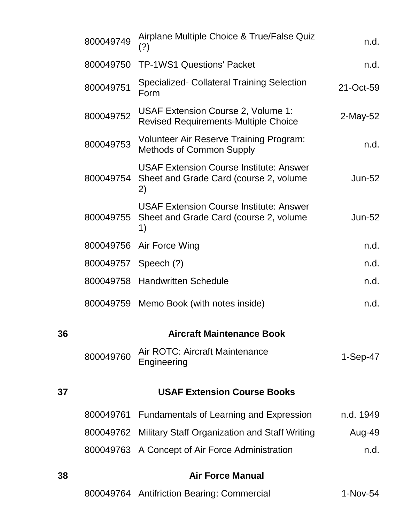|    | 800049749 | Airplane Multiple Choice & True/False Quiz<br>(?)                                                        | n.d.        |
|----|-----------|----------------------------------------------------------------------------------------------------------|-------------|
|    | 800049750 | <b>TP-1WS1 Questions' Packet</b>                                                                         | n.d.        |
|    | 800049751 | Specialized- Collateral Training Selection<br>Form                                                       | 21-Oct-59   |
|    | 800049752 | USAF Extension Course 2, Volume 1:<br><b>Revised Requirements-Multiple Choice</b>                        | $2$ -May-52 |
|    | 800049753 | <b>Volunteer Air Reserve Training Program:</b><br><b>Methods of Common Supply</b>                        | n.d.        |
|    |           | <b>USAF Extension Course Institute: Answer</b><br>800049754 Sheet and Grade Card (course 2, volume<br>2) | $Jun-52$    |
|    | 800049755 | <b>USAF Extension Course Institute: Answer</b><br>Sheet and Grade Card (course 2, volume<br>1)           | $Jun-52$    |
|    |           | 800049756 Air Force Wing                                                                                 | n.d.        |
|    |           | 800049757 Speech (?)                                                                                     | n.d.        |
|    |           | 800049758 Handwritten Schedule                                                                           | n.d.        |
|    |           | 800049759 Memo Book (with notes inside)                                                                  | n.d.        |
| 36 |           | <b>Aircraft Maintenance Book</b>                                                                         |             |
|    | 800049760 | Air ROTC: Aircraft Maintenance<br>Engineering                                                            | $1-Sep-47$  |
| 37 |           | <b>USAF Extension Course Books</b>                                                                       |             |
|    | 800049761 | <b>Fundamentals of Learning and Expression</b>                                                           | n.d. 1949   |
|    |           | 800049762 Military Staff Organization and Staff Writing                                                  | Aug-49      |
|    |           | 800049763 A Concept of Air Force Administration                                                          | n.d.        |
| 38 |           | <b>Air Force Manual</b>                                                                                  |             |
|    |           | 800049764 Antifriction Bearing: Commercial                                                               | 1-Nov-54    |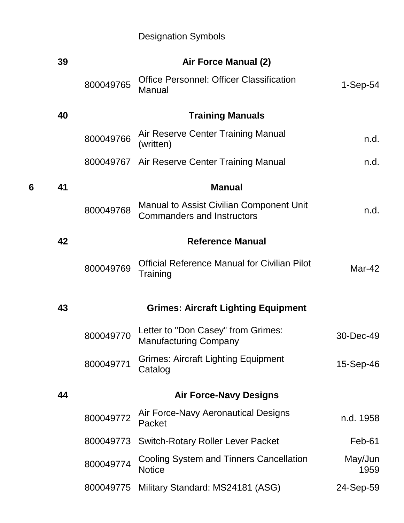## Designation Symbols

|   | 39 |           | Air Force Manual (2)                                                          |                 |
|---|----|-----------|-------------------------------------------------------------------------------|-----------------|
|   |    | 800049765 | <b>Office Personnel: Officer Classification</b><br>Manual                     | $1-Sep-54$      |
|   | 40 |           | <b>Training Manuals</b>                                                       |                 |
|   |    | 800049766 | Air Reserve Center Training Manual<br>(written)                               | n.d.            |
|   |    |           | 800049767 Air Reserve Center Training Manual                                  | n.d.            |
| 6 | 41 |           | <b>Manual</b>                                                                 |                 |
|   |    | 800049768 | Manual to Assist Civilian Component Unit<br><b>Commanders and Instructors</b> | n.d.            |
|   | 42 |           | <b>Reference Manual</b>                                                       |                 |
|   |    | 800049769 | <b>Official Reference Manual for Civilian Pilot</b><br>Training               | Mar-42          |
|   | 43 |           | <b>Grimes: Aircraft Lighting Equipment</b>                                    |                 |
|   |    | 800049770 | Letter to "Don Casey" from Grimes:<br><b>Manufacturing Company</b>            | 30-Dec-49       |
|   |    | 800049771 | <b>Grimes: Aircraft Lighting Equipment</b><br>Catalog                         | 15-Sep-46       |
|   | 44 |           | <b>Air Force-Navy Designs</b>                                                 |                 |
|   |    | 800049772 | Air Force-Navy Aeronautical Designs<br>Packet                                 | n.d. 1958       |
|   |    | 800049773 | <b>Switch-Rotary Roller Lever Packet</b>                                      | Feb-61          |
|   |    | 800049774 | <b>Cooling System and Tinners Cancellation</b><br><b>Notice</b>               | May/Jun<br>1959 |
|   |    | 800049775 | Military Standard: MS24181 (ASG)                                              | 24-Sep-59       |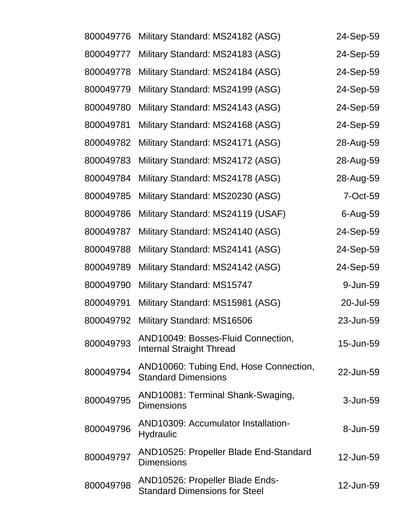| 800049776 | Military Standard: MS24182 (ASG)                                        | 24-Sep-59 |
|-----------|-------------------------------------------------------------------------|-----------|
| 800049777 | Military Standard: MS24183 (ASG)                                        | 24-Sep-59 |
| 800049778 | Military Standard: MS24184 (ASG)                                        | 24-Sep-59 |
| 800049779 | Military Standard: MS24199 (ASG)                                        | 24-Sep-59 |
| 800049780 | Military Standard: MS24143 (ASG)                                        | 24-Sep-59 |
| 800049781 | Military Standard: MS24168 (ASG)                                        | 24-Sep-59 |
| 800049782 | Military Standard: MS24171 (ASG)                                        | 28-Aug-59 |
| 800049783 | Military Standard: MS24172 (ASG)                                        | 28-Aug-59 |
| 800049784 | Military Standard: MS24178 (ASG)                                        | 28-Aug-59 |
| 800049785 | Military Standard: MS20230 (ASG)                                        | 7-Oct-59  |
| 800049786 | Military Standard: MS24119 (USAF)                                       | 6-Aug-59  |
| 800049787 | Military Standard: MS24140 (ASG)                                        | 24-Sep-59 |
| 800049788 | Military Standard: MS24141 (ASG)                                        | 24-Sep-59 |
| 800049789 | Military Standard: MS24142 (ASG)                                        | 24-Sep-59 |
| 800049790 | Military Standard: MS15747                                              | 9-Jun-59  |
| 800049791 | Military Standard: MS15981 (ASG)                                        | 20-Jul-59 |
| 800049792 | Military Standard: MS16506                                              | 23-Jun-59 |
| 800049793 | AND10049: Bosses-Fluid Connection,<br><b>Internal Straight Thread</b>   | 15-Jun-59 |
| 800049794 | AND10060: Tubing End, Hose Connection,<br><b>Standard Dimensions</b>    | 22-Jun-59 |
| 800049795 | AND10081: Terminal Shank-Swaging,<br><b>Dimensions</b>                  | 3-Jun-59  |
| 800049796 | AND10309: Accumulator Installation-<br><b>Hydraulic</b>                 | 8-Jun-59  |
| 800049797 | AND10525: Propeller Blade End-Standard<br><b>Dimensions</b>             | 12-Jun-59 |
| 800049798 | AND10526: Propeller Blade Ends-<br><b>Standard Dimensions for Steel</b> | 12-Jun-59 |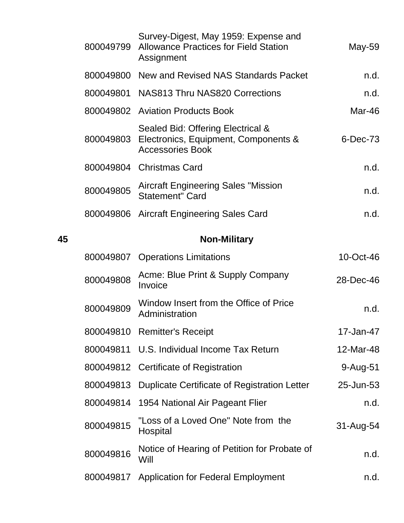|    | 800049799 | Survey-Digest, May 1959: Expense and<br><b>Allowance Practices for Field Station</b><br>Assignment   | May-59    |
|----|-----------|------------------------------------------------------------------------------------------------------|-----------|
|    |           | 800049800 New and Revised NAS Standards Packet                                                       | n.d.      |
|    |           | 800049801 NAS813 Thru NAS820 Corrections                                                             | n.d.      |
|    |           | 800049802 Aviation Products Book                                                                     | Mar-46    |
|    | 800049803 | Sealed Bid: Offering Electrical &<br>Electronics, Equipment, Components &<br><b>Accessories Book</b> | 6-Dec-73  |
|    |           | 800049804 Christmas Card                                                                             | n.d.      |
|    | 800049805 | <b>Aircraft Engineering Sales "Mission</b><br><b>Statement" Card</b>                                 | n.d.      |
|    | 800049806 | <b>Aircraft Engineering Sales Card</b>                                                               | n.d.      |
| 45 |           | <b>Non-Military</b>                                                                                  |           |
|    |           | 800049807 Operations Limitations                                                                     | 10-Oct-46 |
|    | 800049808 | Acme: Blue Print & Supply Company<br>Invoice                                                         | 28-Dec-46 |
|    | 800049809 | Window Insert from the Office of Price<br>Administration                                             | n.d.      |
|    | 800049810 | <b>Remitter's Receipt</b>                                                                            | 17-Jan-47 |
|    | 800049811 | U.S. Individual Income Tax Return                                                                    | 12-Mar-48 |
|    | 800049812 | <b>Certificate of Registration</b>                                                                   | 9-Aug-51  |
|    | 800049813 | <b>Duplicate Certificate of Registration Letter</b>                                                  | 25-Jun-53 |
|    | 800049814 | 1954 National Air Pageant Flier                                                                      | n.d.      |
|    | 800049815 | "Loss of a Loved One" Note from the<br>Hospital                                                      | 31-Aug-54 |
|    | 800049816 | Notice of Hearing of Petition for Probate of<br>Will                                                 | n.d.      |
|    | 800049817 | <b>Application for Federal Employment</b>                                                            | n.d.      |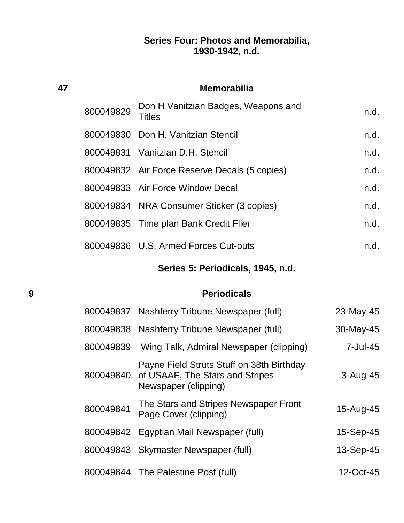## **Series Four: Photos and Memorabilia, 1930-1942, n.d.**

|   | 47        | <b>Memorabilia</b>                                                                                             |                 |  |  |
|---|-----------|----------------------------------------------------------------------------------------------------------------|-----------------|--|--|
|   | 800049829 | Don H Vanitzian Badges, Weapons and<br>Titles                                                                  | n.d.            |  |  |
|   | 800049830 | Don H. Vanitzian Stencil                                                                                       | n.d.            |  |  |
|   | 800049831 | Vanitzian D.H. Stencil                                                                                         | n.d.            |  |  |
|   |           | 800049832 Air Force Reserve Decals (5 copies)                                                                  | n.d.            |  |  |
|   |           | 800049833 Air Force Window Decal                                                                               | n.d.            |  |  |
|   |           | 800049834 NRA Consumer Sticker (3 copies)                                                                      | n.d.            |  |  |
|   | 800049835 | Time plan Bank Credit Flier                                                                                    | n.d.            |  |  |
|   |           | 800049836 U.S. Armed Forces Cut-outs                                                                           | n.d.            |  |  |
|   |           | Series 5: Periodicals, 1945, n.d.                                                                              |                 |  |  |
|   |           |                                                                                                                |                 |  |  |
| 9 |           | <b>Periodicals</b>                                                                                             |                 |  |  |
|   | 800049837 | Nashferry Tribune Newspaper (full)                                                                             | 23-May-45       |  |  |
|   | 800049838 | Nashferry Tribune Newspaper (full)                                                                             | 30-May-45       |  |  |
|   | 800049839 | Wing Talk, Admiral Newspaper (clipping)                                                                        | $7 -$ Jul $-45$ |  |  |
|   |           | Payne Field Struts Stuff on 38th Birthday<br>800049840 of USAAF, The Stars and Stripes<br>Newspaper (clipping) | 3-Aug-45        |  |  |
|   | 800049841 | The Stars and Stripes Newspaper Front<br>Page Cover (clipping)                                                 | 15-Aug-45       |  |  |
|   | 800049842 | Egyptian Mail Newspaper (full)                                                                                 | 15-Sep-45       |  |  |
|   | 800049843 | Skymaster Newspaper (full)                                                                                     | 13-Sep-45       |  |  |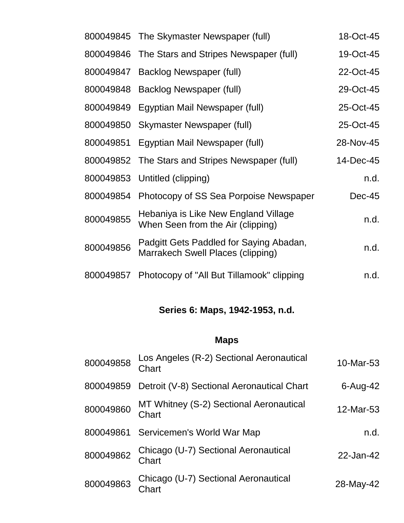|           | 800049845 The Skymaster Newspaper (full)                                     | 18-Oct-45 |
|-----------|------------------------------------------------------------------------------|-----------|
|           | 800049846 The Stars and Stripes Newspaper (full)                             | 19-Oct-45 |
| 800049847 | Backlog Newspaper (full)                                                     | 22-Oct-45 |
| 800049848 | Backlog Newspaper (full)                                                     | 29-Oct-45 |
| 800049849 | Egyptian Mail Newspaper (full)                                               | 25-Oct-45 |
| 800049850 | Skymaster Newspaper (full)                                                   | 25-Oct-45 |
| 800049851 | Egyptian Mail Newspaper (full)                                               | 28-Nov-45 |
| 800049852 | The Stars and Stripes Newspaper (full)                                       | 14-Dec-45 |
| 800049853 | Untitled (clipping)                                                          | n.d.      |
| 800049854 | Photocopy of SS Sea Porpoise Newspaper                                       | $Dec-45$  |
| 800049855 | Hebaniya is Like New England Village<br>When Seen from the Air (clipping)    | n.d.      |
| 800049856 | Padgitt Gets Paddled for Saying Abadan,<br>Marrakech Swell Places (clipping) | n.d.      |
| 800049857 | Photocopy of "All But Tillamook" clipping                                    | n.d.      |

## **Series 6: Maps, 1942-1953, n.d.**

## **Maps**

| 800049858 | Los Angeles (R-2) Sectional Aeronautical<br>Chart | 10-Mar-53   |
|-----------|---------------------------------------------------|-------------|
| 800049859 | Detroit (V-8) Sectional Aeronautical Chart        | $6$ -Aug-42 |
| 800049860 | MT Whitney (S-2) Sectional Aeronautical<br>Chart  | 12-Mar-53   |
| 800049861 | Servicemen's World War Map                        | n.d.        |
| 800049862 | Chicago (U-7) Sectional Aeronautical<br>Chart     | 22-Jan-42   |
| 800049863 | Chicago (U-7) Sectional Aeronautical<br>Chart     | 28-May-42   |